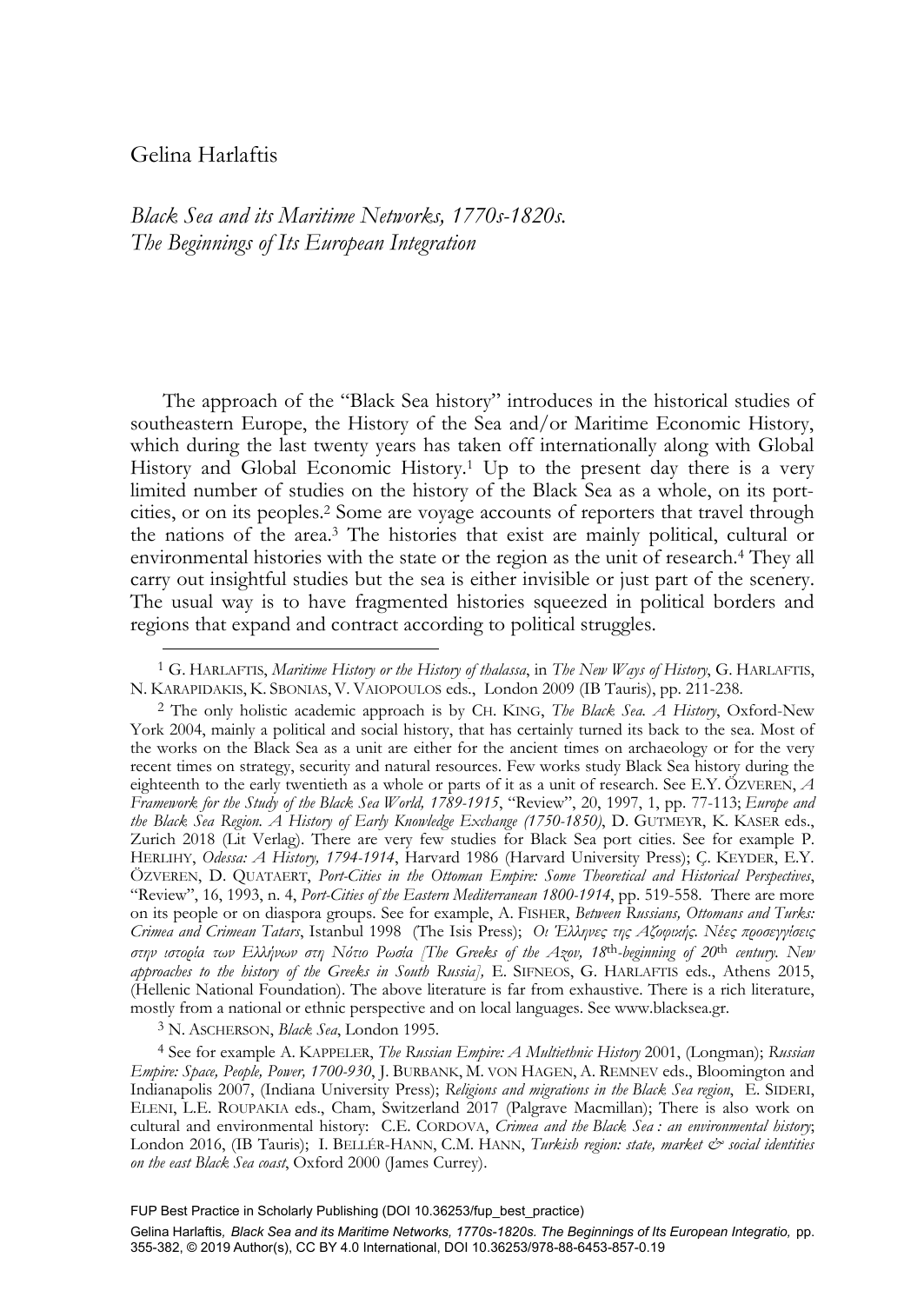# Gelina Harlaftis

-

*Black Sea and its Maritime Networks, 1770s-1820s. The Beginnings of Its European Integration*

The approach of the "Black Sea history" introduces in the historical studies of southeastern Europe, the History of the Sea and/or Maritime Economic History, which during the last twenty years has taken off internationally along with Global History and Global Economic History.1 Up to the present day there is a very limited number of studies on the history of the Black Sea as a whole, on its portcities, or on its peoples.2 Some are voyage accounts of reporters that travel through the nations of the area.3 The histories that exist are mainly political, cultural or environmental histories with the state or the region as the unit of research.4 They all carry out insightful studies but the sea is either invisible or just part of the scenery. The usual way is to have fragmented histories squeezed in political borders and regions that expand and contract according to political struggles.

York 2004, mainly a political and social history, that has certainly turned its back to the sea. Most of the works on the Black Sea as a unit are either for the ancient times on archaeology or for the very recent times on strategy, security and natural resources. Few works study Black Sea history during the eighteenth to the early twentieth as a whole or parts of it as a unit of research. See E.Y. ÖZVEREN, *A Framework for the Study of the Black Sea World, 1789-1915*, "Review", 20, 1997, 1, pp. 77-113; *Europe and the Black Sea Region. A History of Early Knowledge Exchange (1750-1850)*, D. GUTMEYR, K. KASER eds., Zurich 2018 (Lit Verlag). There are very few studies for Black Sea port cities. See for example P. HERLIHY, *Odessa: A History, 1794-1914*, Harvard 1986 (Harvard University Press); Ç. KEYDER, E.Y. ÖZVEREN, D. QUATAERT, *Port-Cities in the Ottoman Empire: Some Theoretical and Historical Perspectives*, "Review", 16, 1993, n. 4, *Port-Cities of the Eastern Mediterranean 1800-1914*, pp. 519-558. There are more on its people or on diaspora groups. See for example, A. FISHER, *Between Russians, Ottomans and Turks: Crimea and Crimean Tatars*, Istanbul 1998 (The Isis Press); *Oι Έλληνες της Αζοφικής. Νέες προσεγγίσεις στην ιστορία των Ελλήνων στη Νότιο Ρωσία [The Greeks of the Azov, 18*th*-beginning of 20*th *century. New approaches to the history of the Greeks in South Russia],* E. SIFNEOS, G. HARLAFTIS eds., Athens 2015, (Hellenic National Foundation). The above literature is far from exhaustive. There is a rich literature, mostly from a national or ethnic perspective and on local languages. See www.blacksea.gr.

3 N. ASCHERSON, *Black Sea*, London 1995.

4 See for example A. KAPPELER, *The Russian Empire: A Multiethnic History* 2001, (Longman); *Russian Empire: Space, People, Power, 1700-930*, J. BURBANK, M. VON HAGEN, A. REMNEV eds., Bloomington and Indianapolis 2007, (Indiana University Press); *Religions and migrations in the Black Sea region*, E. SIDERI, ELENI, L.E. ROUPAKIA eds., Cham, Switzerland 2017 (Palgrave Macmillan); There is also work on cultural and environmental history: C.E. CORDOVA, *Crimea and the Black Sea : an environmental history*; London 2016, (IB Tauris); I. BELLÉR-HANN, C.M. HANN, *Turkish region: state, market & social identities on the east Black Sea coast*, Oxford 2000 (James Currey).

FUP Best Practice in Scholarly Publishing (DOI [10.36253/fup\\_best\\_practice\)](https://doi.org/10.36253/fup_best_practice)

<sup>1</sup> G. HARLAFTIS, *Maritime History or the History of thalassa*, in *The New Ways of History*, G. HARLAFTIS, N. KARAPIDAKIS, K. SBONIAS, V. VAIOPOULOS eds., London 2009 (IB Tauris), pp. 211-238. 2 The only holistic academic approach is by CH. KING, *The Black Sea. A History*, Oxford-New

Gelina Harlaftis*, Black Sea and its Maritime Networks, 1770s-1820s. The Beginnings of Its European Integratio,* pp. 355-382, © 2019 Author(s), [CC BY 4.0 International,](http://creativecommons.org/licenses/by/4.0/legalcode) DOI [10.36253/978-88-6453-857-0.19](https://doi.org/10.36253/978-88-6453-857-0.19)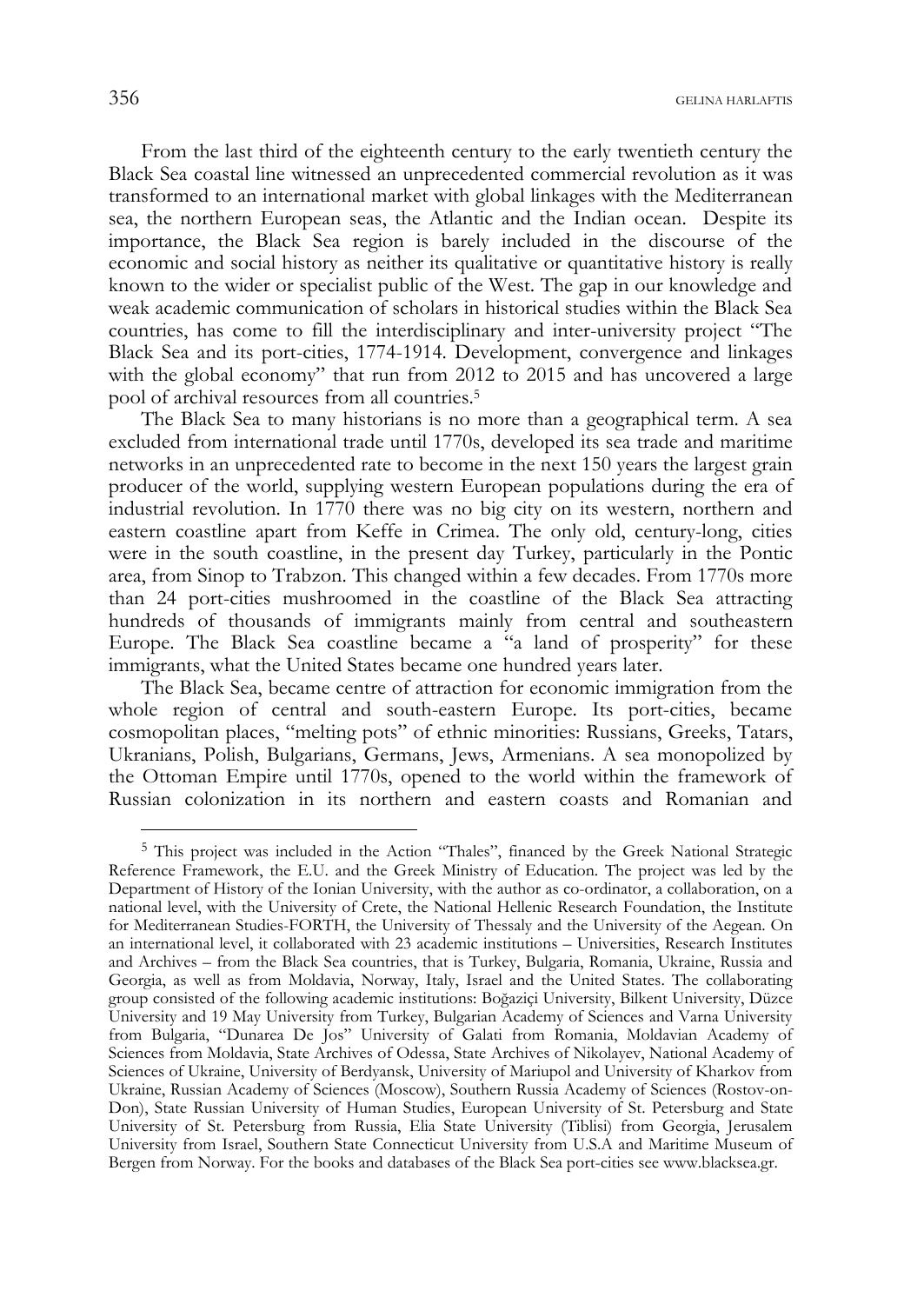From the last third of the eighteenth century to the early twentieth century the Black Sea coastal line witnessed an unprecedented commercial revolution as it was transformed to an international market with global linkages with the Mediterranean sea, the northern European seas, the Atlantic and the Indian ocean. Despite its importance, the Black Sea region is barely included in the discourse of the economic and social history as neither its qualitative or quantitative history is really known to the wider or specialist public of the West. The gap in our knowledge and weak academic communication of scholars in historical studies within the Black Sea countries, has come to fill the interdisciplinary and inter-university project "The Black Sea and its port-cities, 1774-1914. Development, convergence and linkages with the global economy" that run from 2012 to 2015 and has uncovered a large pool of archival resources from all countries.5

The Black Sea to many historians is no more than a geographical term. A sea excluded from international trade until 1770s, developed its sea trade and maritime networks in an unprecedented rate to become in the next 150 years the largest grain producer of the world, supplying western European populations during the era of industrial revolution. In 1770 there was no big city on its western, northern and eastern coastline apart from Keffe in Crimea. The only old, century-long, cities were in the south coastline, in the present day Turkey, particularly in the Pontic area, from Sinop to Trabzon. This changed within a few decades. From 1770s more than 24 port-cities mushroomed in the coastline of the Black Sea attracting hundreds of thousands of immigrants mainly from central and southeastern Europe. The Black Sea coastline became a  $a<sub>a</sub>$  land of prosperity" for these immigrants, what the United States became one hundred years later.

The Black Sea, became centre of attraction for economic immigration from the whole region of central and south-eastern Europe. Its port-cities, became cosmopolitan places, "melting pots" of ethnic minorities: Russians, Greeks, Tatars, Ukranians, Polish, Bulgarians, Germans, Jews, Armenians. A sea monopolized by the Ottoman Empire until 1770s, opened to the world within the framework of Russian colonization in its northern and eastern coasts and Romanian and

<sup>5</sup> This project was included in the Action "Thales", financed by the Greek National Strategic Reference Framework, the E.U. and the Greek Ministry of Education. The project was led by the Department of History of the Ionian University, with the author as co-ordinator, a collaboration, on a national level, with the University of Crete, the National Hellenic Research Foundation, the Institute for Mediterranean Studies-FORTH, the University of Thessaly and the University of the Aegean. On an international level, it collaborated with 23 academic institutions – Universities, Research Institutes and Archives – from the Black Sea countries, that is Turkey, Bulgaria, Romania, Ukraine, Russia and Georgia, as well as from Moldavia, Norway, Italy, Israel and the United States. The collaborating group consisted of the following academic institutions: Boğaziçi University, Bilkent University, Düzce University and 19 May University from Turkey, Bulgarian Academy of Sciences and Varna University from Bulgaria, "Dunarea De Jos" University of Galati from Romania, Moldavian Academy of Sciences from Moldavia, State Archives of Odessa, State Archives of Nikolayev, National Academy of Sciences of Ukraine, University of Berdyansk, University of Mariupol and University of Kharkov from Ukraine, Russian Academy of Sciences (Moscow), Southern Russia Academy of Sciences (Rostov-on-Don), State Russian University of Human Studies, European University of St. Petersburg and State University of St. Petersburg from Russia, Elia State University (Tiblisi) from Georgia, Jerusalem University from Israel, Southern State Connecticut University from U.S.A and Maritime Museum of Bergen from Norway. For the books and databases of the Black Sea port-cities see www.blacksea.gr.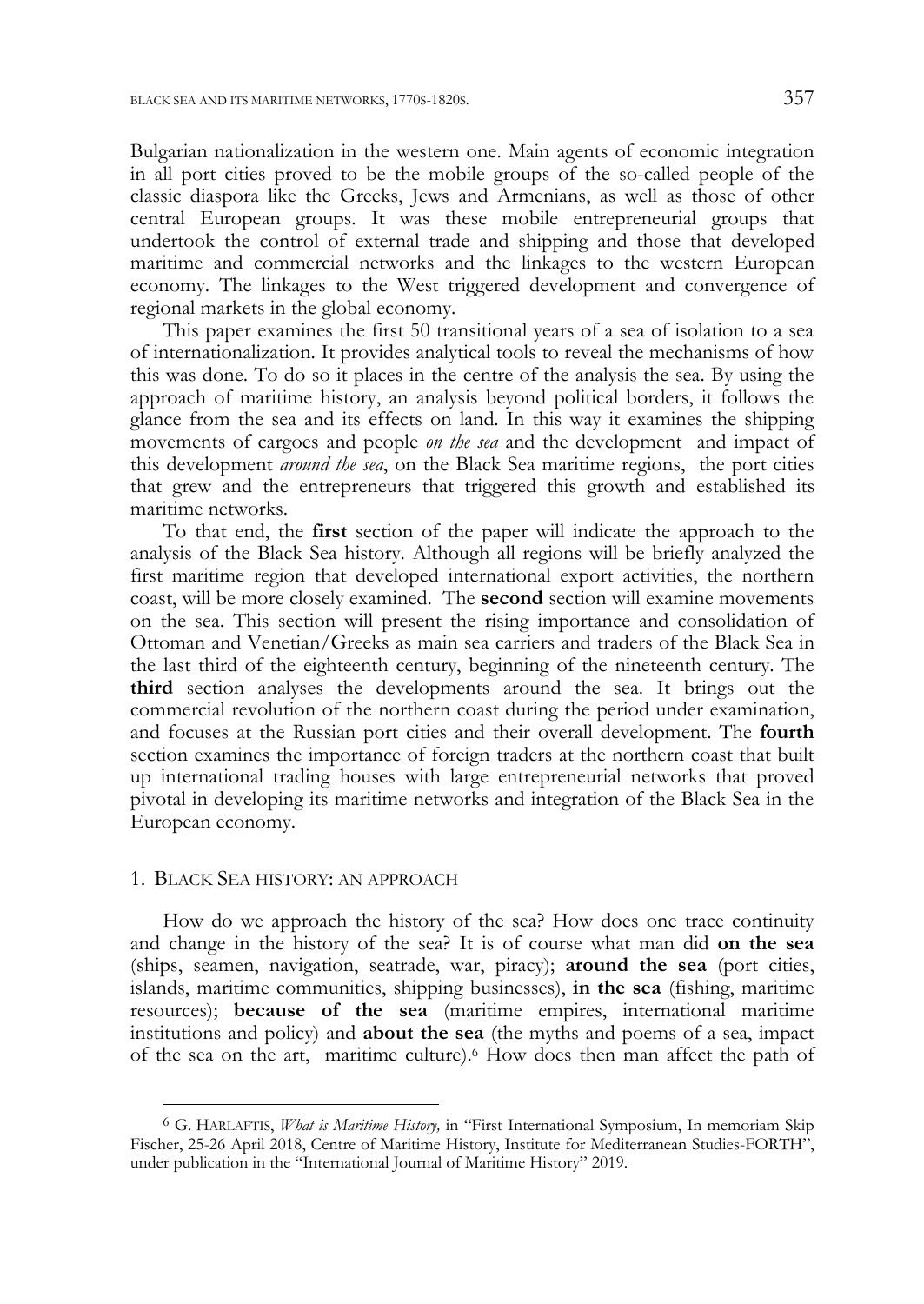Bulgarian nationalization in the western one. Main agents of economic integration in all port cities proved to be the mobile groups of the so-called people of the classic diaspora like the Greeks, Jews and Armenians, as well as those of other central European groups. It was these mobile entrepreneurial groups that undertook the control of external trade and shipping and those that developed maritime and commercial networks and the linkages to the western European economy. The linkages to the West triggered development and convergence of regional markets in the global economy.

This paper examines the first 50 transitional years of a sea of isolation to a sea of internationalization. It provides analytical tools to reveal the mechanisms of how this was done. To do so it places in the centre of the analysis the sea. By using the approach of maritime history, an analysis beyond political borders, it follows the glance from the sea and its effects on land. In this way it examines the shipping movements of cargoes and people *on the sea* and the development and impact of this development *around the sea*, on the Black Sea maritime regions, the port cities that grew and the entrepreneurs that triggered this growth and established its maritime networks.

To that end, the **first** section of the paper will indicate the approach to the analysis of the Black Sea history. Although all regions will be briefly analyzed the first maritime region that developed international export activities, the northern coast, will be more closely examined. The **second** section will examine movements on the sea. This section will present the rising importance and consolidation of Ottoman and Venetian/Greeks as main sea carriers and traders of the Black Sea in the last third of the eighteenth century, beginning of the nineteenth century. The **third** section analyses the developments around the sea. It brings out the commercial revolution of the northern coast during the period under examination, and focuses at the Russian port cities and their overall development. The **fourth** section examines the importance of foreign traders at the northern coast that built up international trading houses with large entrepreneurial networks that proved pivotal in developing its maritime networks and integration of the Black Sea in the European economy.

## 1. BLACK SEA HISTORY: AN APPROACH

j

How do we approach the history of the sea? How does one trace continuity and change in the history of the sea? It is of course what man did **on the sea** (ships, seamen, navigation, seatrade, war, piracy); **around the sea** (port cities, islands, maritime communities, shipping businesses), **in the sea** (fishing, maritime resources); **because of the sea** (maritime empires, international maritime institutions and policy) and **about the sea** (the myths and poems of a sea, impact of the sea on the art, maritime culture).6 How does then man affect the path of

<sup>6</sup> G. HARLAFTIS, *What is Maritime History,* in "First International Symposium, In memoriam Skip Fischer, 25-26 April 2018, Centre of Maritime History, Institute for Mediterranean Studies-FORTH", under publication in the "International Journal of Maritime History" 2019.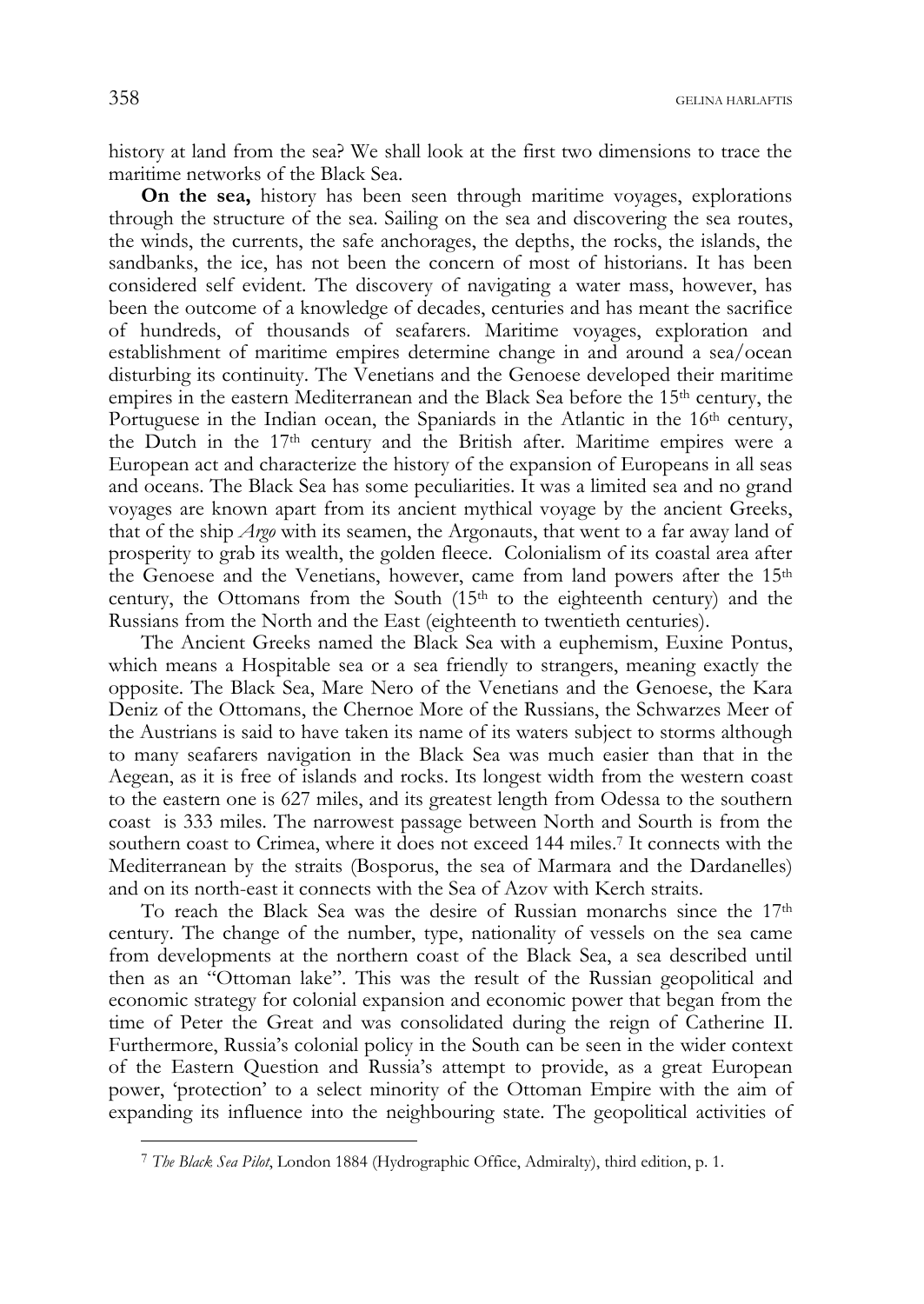history at land from the sea? We shall look at the first two dimensions to trace the maritime networks of the Black Sea.

**On the sea,** history has been seen through maritime voyages, explorations through the structure of the sea. Sailing on the sea and discovering the sea routes, the winds, the currents, the safe anchorages, the depths, the rocks, the islands, the sandbanks, the ice, has not been the concern of most of historians. It has been considered self evident. The discovery of navigating a water mass, however, has been the outcome of a knowledge of decades, centuries and has meant the sacrifice of hundreds, of thousands of seafarers. Maritime voyages, exploration and establishment of maritime empires determine change in and around a sea/ocean disturbing its continuity. The Venetians and the Genoese developed their maritime empires in the eastern Mediterranean and the Black Sea before the 15<sup>th</sup> century, the Portuguese in the Indian ocean, the Spaniards in the Atlantic in the  $16<sup>th</sup>$  century, the Dutch in the 17th century and the British after. Maritime empires were a European act and characterize the history of the expansion of Europeans in all seas and oceans. The Black Sea has some peculiarities. It was a limited sea and no grand voyages are known apart from its ancient mythical voyage by the ancient Greeks, that of the ship *Argo* with its seamen, the Argonauts, that went to a far away land of prosperity to grab its wealth, the golden fleece. Colonialism of its coastal area after the Genoese and the Venetians, however, came from land powers after the 15<sup>th</sup> century, the Ottomans from the South  $(15<sup>th</sup>$  to the eighteenth century) and the Russians from the North and the East (eighteenth to twentieth centuries).

The Ancient Greeks named the Black Sea with a euphemism, Euxine Pontus, which means a Hospitable sea or a sea friendly to strangers, meaning exactly the opposite. The Black Sea, Mare Nero of the Venetians and the Genoese, the Kara Deniz of the Ottomans, the Chernoe More of the Russians, the Schwarzes Meer of the Austrians is said to have taken its name of its waters subject to storms although to many seafarers navigation in the Black Sea was much easier than that in the Aegean, as it is free of islands and rocks. Its longest width from the western coast to the eastern one is 627 miles, and its greatest length from Odessa to the southern coast is 333 miles. The narrowest passage between North and Sourth is from the southern coast to Crimea, where it does not exceed 144 miles.7 It connects with the Mediterranean by the straits (Bosporus, the sea of Marmara and the Dardanelles) and on its north-east it connects with the Sea of Azov with Kerch straits.

To reach the Black Sea was the desire of Russian monarchs since the 17th century. The change of the number, type, nationality of vessels on the sea came from developments at the northern coast of the Black Sea, a sea described until then as an "Ottoman lake". This was the result of the Russian geopolitical and economic strategy for colonial expansion and economic power that began from the time of Peter the Great and was consolidated during the reign of Catherine II. Furthermore, Russia's colonial policy in the South can be seen in the wider context of the Eastern Question and Russia's attempt to provide, as a great European power, 'protection' to a select minority of the Ottoman Empire with the aim of expanding its influence into the neighbouring state. The geopolitical activities of

<sup>7</sup> *The Black Sea Pilot*, London 1884 (Hydrographic Office, Admiralty), third edition, p. 1.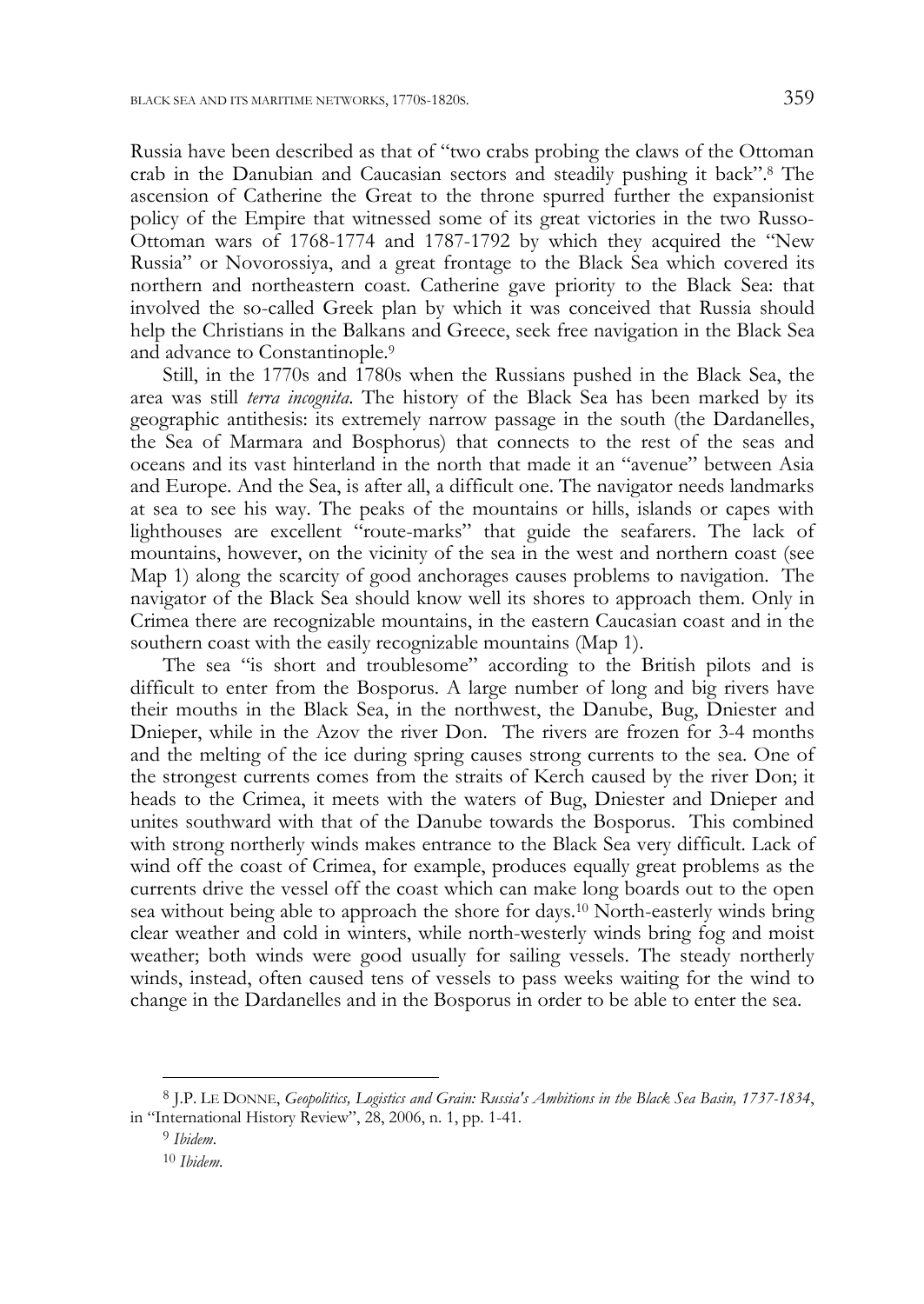Russia have been described as that of "two crabs probing the claws of the Ottoman crab in the Danubian and Caucasian sectors and steadily pushing it back".8 The ascension of Catherine the Great to the throne spurred further the expansionist policy of the Empire that witnessed some of its great victories in the two Russo-Ottoman wars of 1768-1774 and 1787-1792 by which they acquired the "New Russia" or Novorossiya, and a great frontage to the Black Sea which covered its northern and northeastern coast. Catherine gave priority to the Black Sea: that involved the so-called Greek plan by which it was conceived that Russia should help the Christians in the Balkans and Greece, seek free navigation in the Black Sea and advance to Constantinople.9

Still, in the 1770s and 1780s when the Russians pushed in the Black Sea, the area was still *terra incognita*. The history of the Black Sea has been marked by its geographic antithesis: its extremely narrow passage in the south (the Dardanelles, the Sea of Marmara and Bosphorus) that connects to the rest of the seas and oceans and its vast hinterland in the north that made it an "avenue" between Asia and Europe. And the Sea, is after all, a difficult one. The navigator needs landmarks at sea to see his way. The peaks of the mountains or hills, islands or capes with lighthouses are excellent "route-marks" that guide the seafarers. The lack of mountains, however, on the vicinity of the sea in the west and northern coast (see Map 1) along the scarcity of good anchorages causes problems to navigation. The navigator of the Black Sea should know well its shores to approach them. Only in Crimea there are recognizable mountains, in the eastern Caucasian coast and in the southern coast with the easily recognizable mountains (Map 1).

The sea "is short and troublesome" according to the British pilots and is difficult to enter from the Bosporus. A large number of long and big rivers have their mouths in the Black Sea, in the northwest, the Danube, Bug, Dniester and Dnieper, while in the Azov the river Don. The rivers are frozen for 3-4 months and the melting of the ice during spring causes strong currents to the sea. One of the strongest currents comes from the straits of Kerch caused by the river Don; it heads to the Crimea, it meets with the waters of Bug, Dniester and Dnieper and unites southward with that of the Danube towards the Bosporus. This combined with strong northerly winds makes entrance to the Black Sea very difficult. Lack of wind off the coast of Crimea, for example, produces equally great problems as the currents drive the vessel off the coast which can make long boards out to the open sea without being able to approach the shore for days.10 North-easterly winds bring clear weather and cold in winters, while north-westerly winds bring fog and moist weather; both winds were good usually for sailing vessels. The steady northerly winds, instead, often caused tens of vessels to pass weeks waiting for the wind to change in the Dardanelles and in the Bosporus in order to be able to enter the sea.

<sup>8</sup> J.P. LE DONNE, *Geopolitics, Logistics and Grain: Russia's Ambitions in the Black Sea Basin, 1737-1834*, in "International History Review", 28, 2006, n. 1, pp. 1-41.

<sup>9</sup> *Ibidem*.

<sup>10</sup> *Ibidem*.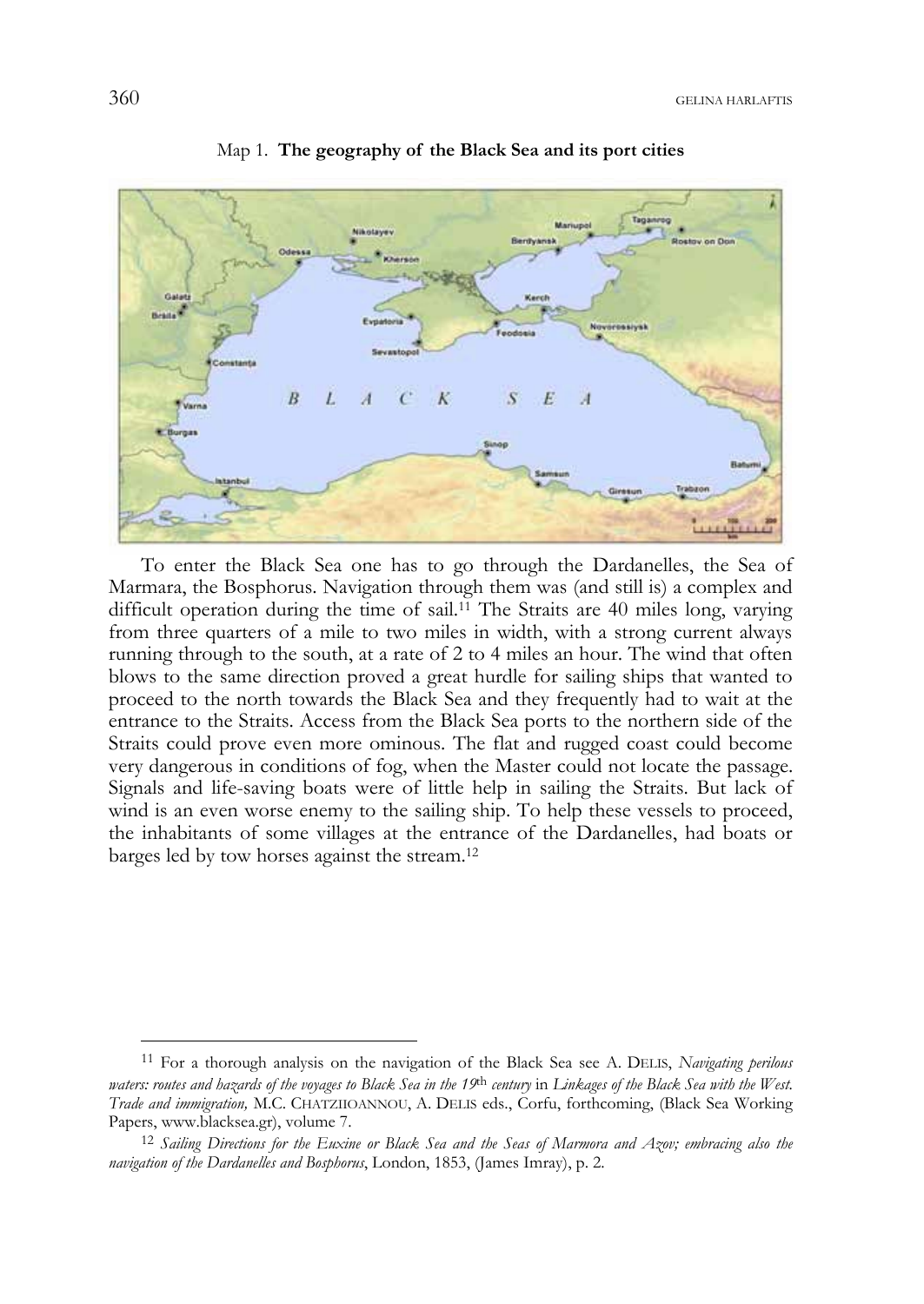

Map 1. **The geography of the Black Sea and its port cities** 

To enter the Black Sea one has to go through the Dardanelles, the Sea of Marmara, the Bosphorus. Navigation through them was (and still is) a complex and difficult operation during the time of sail.11 The Straits are 40 miles long, varying from three quarters of a mile to two miles in width, with a strong current always running through to the south, at a rate of 2 to 4 miles an hour. The wind that often blows to the same direction proved a great hurdle for sailing ships that wanted to proceed to the north towards the Black Sea and they frequently had to wait at the entrance to the Straits. Access from the Black Sea ports to the northern side of the Straits could prove even more ominous. The flat and rugged coast could become very dangerous in conditions of fog, when the Master could not locate the passage. Signals and life-saving boats were of little help in sailing the Straits. But lack of wind is an even worse enemy to the sailing ship. To help these vessels to proceed, the inhabitants of some villages at the entrance of the Dardanelles, had boats or barges led by tow horses against the stream.12

j

<sup>11</sup> For a thorough analysis on the navigation of the Black Sea see A. DELIS, *Navigating perilous waters: routes and hazards of the voyages to Black Sea in the 19*th *century* in *Linkages of the Black Sea with the West. Trade and immigration,* M.C. CHATZIIOANNOU, A. DELIS eds., Corfu, forthcoming, (Black Sea Working Papers, www.blacksea.gr), volume 7. 12 *Sailing Directions for the Euxine or Black Sea and the Seas of Marmora and Azov; embracing also the* 

*navigation of the Dardanelles and Bosphorus*, London, 1853, (James Imray), p. 2.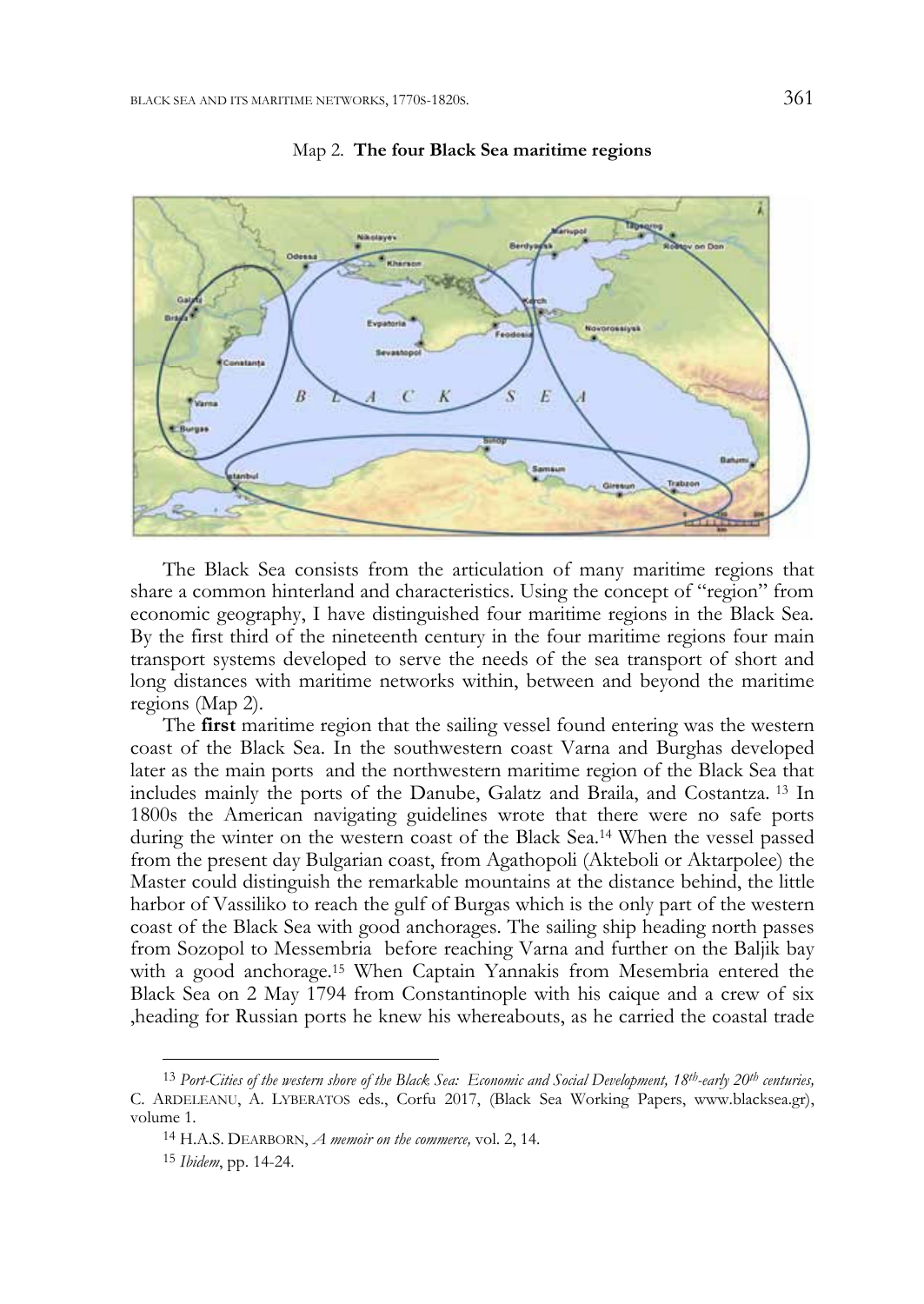



The Black Sea consists from the articulation of many maritime regions that share a common hinterland and characteristics. Using the concept of "region" from economic geography, I have distinguished four maritime regions in the Black Sea. By the first third of the nineteenth century in the four maritime regions four main transport systems developed to serve the needs of the sea transport of short and long distances with maritime networks within, between and beyond the maritime regions (Map 2).

The **first** maritime region that the sailing vessel found entering was the western coast of the Black Sea. In the southwestern coast Varna and Burghas developed later as the main ports and the northwestern maritime region of the Black Sea that includes mainly the ports of the Danube, Galatz and Braila, and Costantza. 13 In 1800s the American navigating guidelines wrote that there were no safe ports during the winter on the western coast of the Black Sea.14 When the vessel passed from the present day Bulgarian coast, from Agathopoli (Akteboli or Aktarpolee) the Master could distinguish the remarkable mountains at the distance behind, the little harbor of Vassiliko to reach the gulf of Burgas which is the only part of the western coast of the Black Sea with good anchorages. The sailing ship heading north passes from Sozopol to Messembria before reaching Varna and further on the Baljik bay with a good anchorage.15 When Captain Yannakis from Mesembria entered the Black Sea on 2 May 1794 from Constantinople with his caique and a crew of six ,heading for Russian ports he knew his whereabouts, as he carried the coastal trade

<sup>13</sup> *Port-Cities of the western shore of the Black Sea: Economic and Social Development, 18th-early 20th centuries,*  C. ARDELEANU, A. LYBERATOS eds., Corfu 2017, (Black Sea Working Papers, www.blacksea.gr), volume 1.

<sup>14</sup> H.A.S. DEARBORN, *A memoir on the commerce,* vol. 2, 14.

<sup>15</sup> *Ibidem*, pp. 14-24.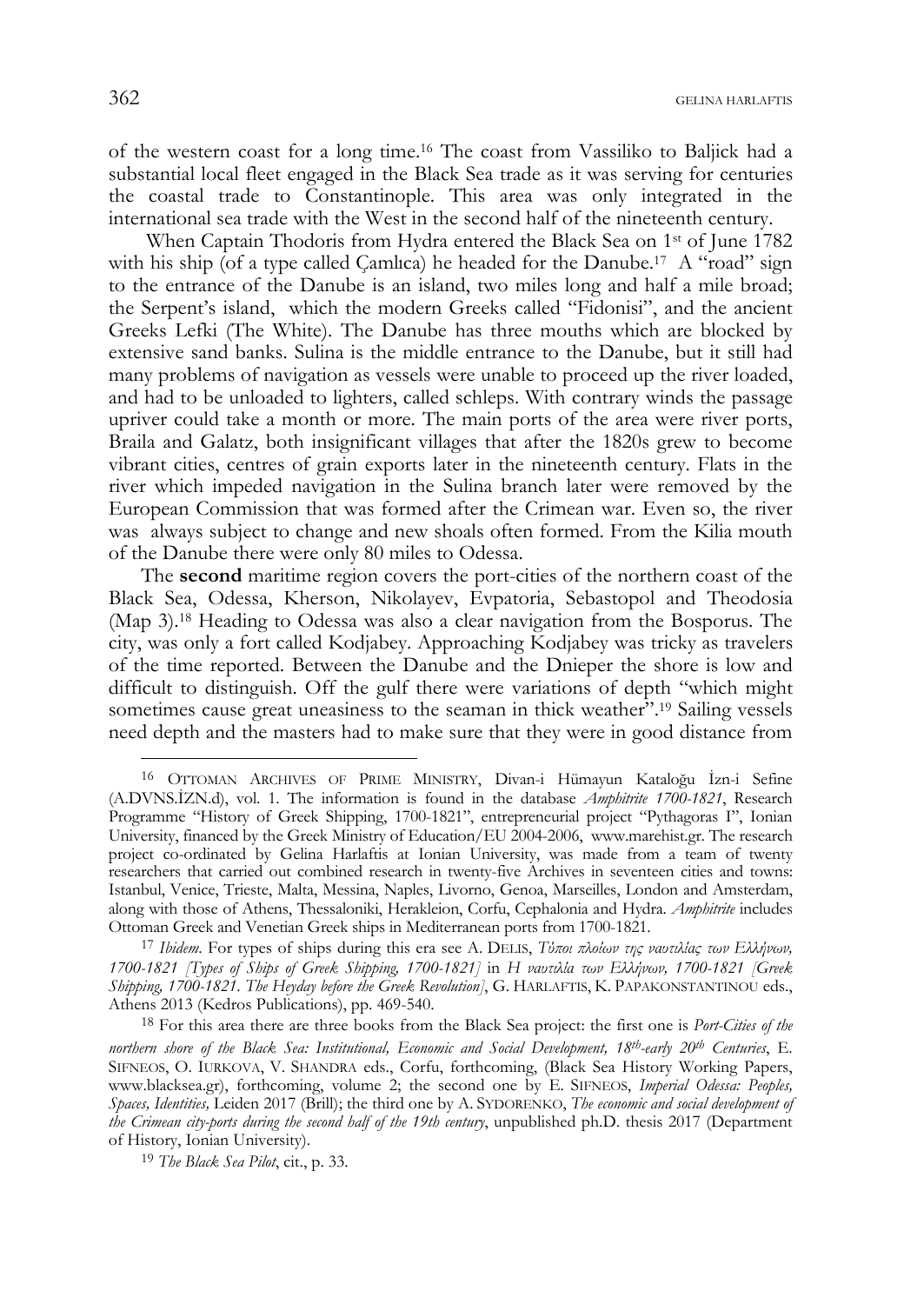of the western coast for a long time.16 The coast from Vassiliko to Baljick had a substantial local fleet engaged in the Black Sea trade as it was serving for centuries the coastal trade to Constantinople. This area was only integrated in the international sea trade with the West in the second half of the nineteenth century.

 When Captain Thodoris from Hydra entered the Black Sea on 1st of June 1782 with his ship (of a type called Camlica) he headed for the Danube.<sup>17</sup> A "road" sign to the entrance of the Danube is an island, two miles long and half a mile broad; the Serpent's island, which the modern Greeks called "Fidonisi", and the ancient Greeks Lefki (The White). The Danube has three mouths which are blocked by extensive sand banks. Sulina is the middle entrance to the Danube, but it still had many problems of navigation as vessels were unable to proceed up the river loaded, and had to be unloaded to lighters, called schleps. With contrary winds the passage upriver could take a month or more. The main ports of the area were river ports, Braila and Galatz, both insignificant villages that after the 1820s grew to become vibrant cities, centres of grain exports later in the nineteenth century. Flats in the river which impeded navigation in the Sulina branch later were removed by the European Commission that was formed after the Crimean war. Even so, the river was always subject to change and new shoals often formed. From the Kilia mouth of the Danube there were only 80 miles to Odessa.

The **second** maritime region covers the port-cities of the northern coast of the Black Sea, Odessa, Kherson, Nikolayev, Evpatoria, Sebastopol and Theodosia (Map 3).18 Heading to Odessa was also a clear navigation from the Bosporus. The city, was only a fort called Kodjabey. Approaching Kodjabey was tricky as travelers of the time reported. Between the Danube and the Dnieper the shore is low and difficult to distinguish. Off the gulf there were variations of depth "which might sometimes cause great uneasiness to the seaman in thick weather".19 Sailing vessels need depth and the masters had to make sure that they were in good distance from

<sup>17</sup> *Ibidem*. For types of ships during this era see A. DELIS, *Τύποι πλοίων της ναυτιλίας των Ελλήνων, 1700-1821 [Types of Ships of Greek Shipping, 1700-1821]* in *Η ναυτιλία των Ελλήνων, 1700-1821 [Greek Shipping, 1700-1821. The Heyday before the Greek Revolution]*, G. HARLAFTIS, K. PAPAKONSTANTINOU eds., Athens 2013 (Kedros Publications), pp. 469-540.

18 For this area there are three books from the Black Sea project: the first one is *Port-Cities of the northern shore of the Black Sea: Institutional, Economic and Social Development, 18th-early 20th Centuries*, E. SIFNEOS, O. IURKOVA, V. SHANDRA eds., Corfu, forthcoming, (Black Sea History Working Papers, www.blacksea.gr), forthcoming, volume 2; the second one by E. SIFNEOS, *Imperial Odessa: Peoples, Spaces, Identities,* Leiden 2017 (Brill); the third one by A. SYDORENKO, *The economic and social development of the Crimean city-ports during the second half of the 19th century*, unpublished ph.D. thesis 2017 (Department of History, Ionian University).

<sup>16</sup> OTTOMAN ARCHIVES OF PRIME MINISTRY, Divan-i Hümayun Kataloğu İzn-i Sefine (A.DVNS.İZN.d), vol. 1. The information is found in the database *Amphitrite 1700-1821*, Research Programme "History of Greek Shipping, 1700-1821", entrepreneurial project "Pythagoras I", Ionian University, financed by the Greek Ministry of Education/EU 2004-2006, www.marehist.gr. The research project co-ordinated by Gelina Harlaftis at Ionian University, was made from a team of twenty researchers that carried out combined research in twenty-five Archives in seventeen cities and towns: Istanbul, Venice, Trieste, Malta, Messina, Naples, Livorno, Genoa, Marseilles, London and Amsterdam, along with those of Athens, Thessaloniki, Herakleion, Corfu, Cephalonia and Hydra. *Amphitrite* includes Ottoman Greek and Venetian Greek ships in Mediterranean ports from 1700-1821.

<sup>19</sup> *The Black Sea Pilot*, cit., p. 33.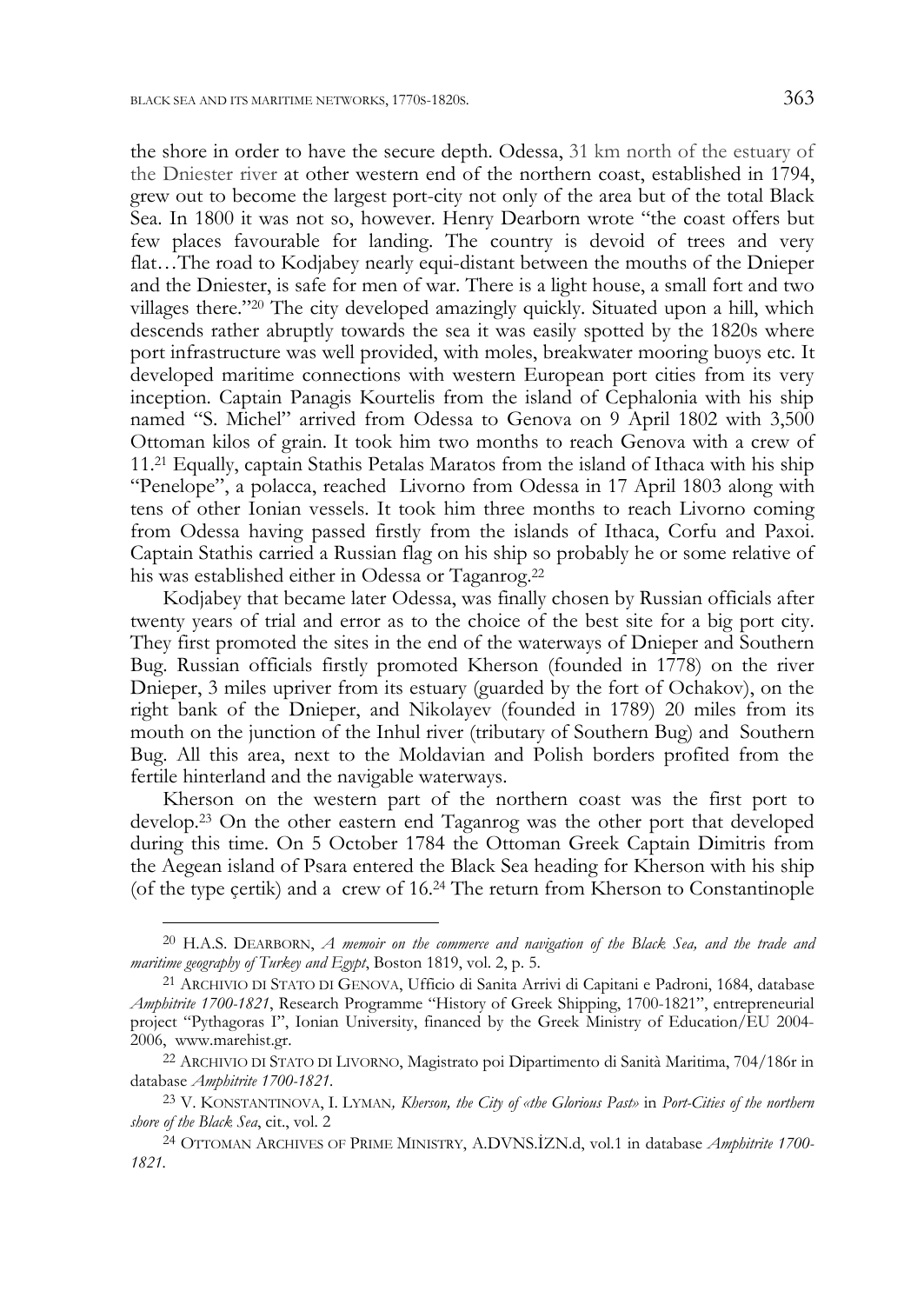-

the shore in order to have the secure depth. Odessa, 31 km north of the estuary of the Dniester river at other western end of the northern coast, established in 1794, grew out to become the largest port-city not only of the area but of the total Black Sea. In 1800 it was not so, however. Henry Dearborn wrote "the coast offers but few places favourable for landing. The country is devoid of trees and very flat…The road to Kodjabey nearly equi-distant between the mouths of the Dnieper and the Dniester, is safe for men of war. There is a light house, a small fort and two villages there."20 The city developed amazingly quickly. Situated upon a hill, which descends rather abruptly towards the sea it was easily spotted by the 1820s where port infrastructure was well provided, with moles, breakwater mooring buoys etc. It developed maritime connections with western European port cities from its very inception. Captain Panagis Kourtelis from the island of Cephalonia with his ship named "S. Michel" arrived from Odessa to Genova on 9 April 1802 with 3,500 Ottoman kilos of grain. It took him two months to reach Genova with a crew of 11.21 Equally, captain Stathis Petalas Maratos from the island of Ithaca with his ship "Penelope", a polacca, reached Livorno from Odessa in 17 April 1803 along with tens of other Ionian vessels. It took him three months to reach Livorno coming from Odessa having passed firstly from the islands of Ithaca, Corfu and Paxoi. Captain Stathis carried a Russian flag on his ship so probably he or some relative of his was established either in Odessa or Taganrog.22

Kodjabey that became later Odessa, was finally chosen by Russian officials after twenty years of trial and error as to the choice of the best site for a big port city. They first promoted the sites in the end of the waterways of Dnieper and Southern Bug. Russian officials firstly promoted Kherson (founded in 1778) on the river Dnieper, 3 miles upriver from its estuary (guarded by the fort of Ochakov), on the right bank of the Dnieper, and Nikolayev (founded in 1789) 20 miles from its mouth on the junction of the Inhul river (tributary of Southern Bug) and Southern Bug. All this area, next to the Moldavian and Polish borders profited from the fertile hinterland and the navigable waterways.

Kherson on the western part of the northern coast was the first port to develop.23 On the other eastern end Taganrog was the other port that developed during this time. On 5 October 1784 the Ottoman Greek Captain Dimitris from the Aegean island of Psara entered the Black Sea heading for Kherson with his ship (of the type çertik) and a crew of 16.24 The return from Kherson to Constantinople

<sup>20</sup> H.A.S. DEARBORN, *A memoir on the commerce and navigation of the Black Sea, and the trade and maritime geography of Turkey and Egypt*, Boston 1819, vol. 2, p. 5. 21 ARCHIVIO DI STATO DI GENOVA, Ufficio di Sanita Arrivi di Capitani e Padroni, 1684, database

*Amphitrite 1700-1821*, Research Programme "History of Greek Shipping, 1700-1821", entrepreneurial project "Pythagoras I", Ionian University, financed by the Greek Ministry of Education/EU 2004- 2006, www.marehist.gr. 22 ARCHIVIO DI STATO DI LIVORNO, Magistrato poi Dipartimento di Sanità Maritima, 704/186r in

database *Amphitrite 1700-1821.*

<sup>23</sup> V. KONSTANTINOVA, I. LYMAN*, Kherson, the City of «the Glorious Past»* in *Port-Cities of the northern shore of the Black Sea*, cit., vol. 2

<sup>24</sup> OTTOMAN ARCHIVES OF PRIME MINISTRY, A.DVNS.İZN.d, vol.1 in database *Amphitrite 1700- 1821.*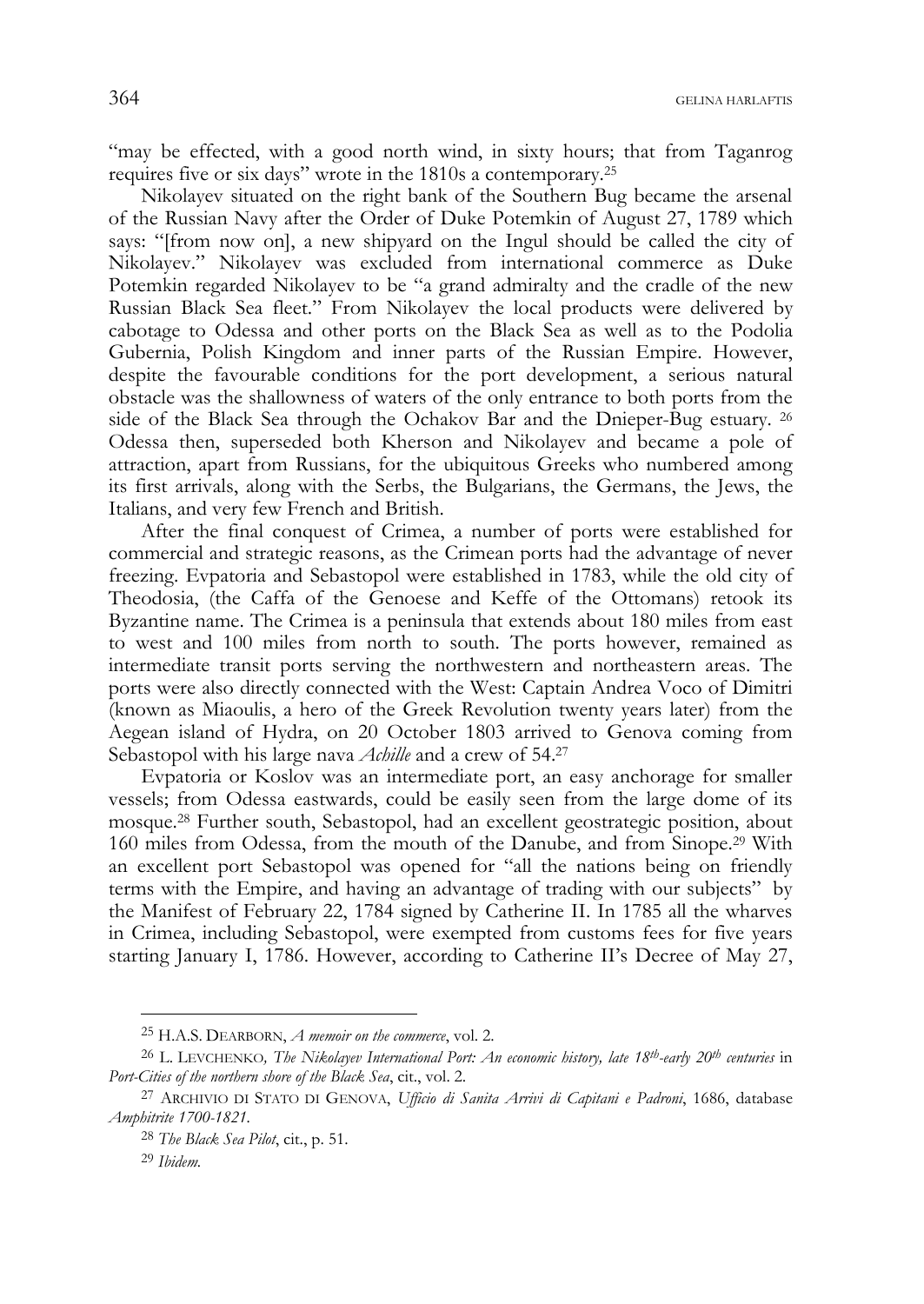"may be effected, with a good north wind, in sixty hours; that from Taganrog requires five or six days" wrote in the 1810s a contemporary.25

Nikolayev situated on the right bank of the Southern Bug became the arsenal of the Russian Navy after the Order of Duke Potemkin of August 27, 1789 which says: "[from now on], a new shipyard on the Ingul should be called the city of Nikolayev." Nikolayev was excluded from international commerce as Duke Potemkin regarded Nikolayev to be "a grand admiralty and the cradle of the new Russian Black Sea fleet." From Nikolayev the local products were delivered by cabotage to Odessa and other ports on the Black Sea as well as to the Podolia Gubernia, Polish Kingdom and inner parts of the Russian Empire. However, despite the favourable conditions for the port development, a serious natural obstacle was the shallowness of waters of the only entrance to both ports from the side of the Black Sea through the Ochakov Bar and the Dnieper-Bug estuary. 26 Odessa then, superseded both Kherson and Nikolayev and became a pole of attraction, apart from Russians, for the ubiquitous Greeks who numbered among its first arrivals, along with the Serbs, the Bulgarians, the Germans, the Jews, the Italians, and very few French and British.

After the final conquest of Crimea, a number of ports were established for commercial and strategic reasons, as the Crimean ports had the advantage of never freezing. Evpatoria and Sebastopol were established in 1783, while the old city of Theodosia, (the Caffa of the Genoese and Keffe of the Ottomans) retook its Byzantine name. The Crimea is a peninsula that extends about 180 miles from east to west and 100 miles from north to south. The ports however, remained as intermediate transit ports serving the northwestern and northeastern areas. The ports were also directly connected with the West: Captain Andrea Voco of Dimitri (known as Miaoulis, a hero of the Greek Revolution twenty years later) from the Aegean island of Hydra, on 20 October 1803 arrived to Genova coming from Sebastopol with his large nava *Achille* and a crew of 54.27

Evpatoria or Koslov was an intermediate port, an easy anchorage for smaller vessels; from Odessa eastwards, could be easily seen from the large dome of its mosque.28 Further south, Sebastopol, had an excellent geostrategic position, about 160 miles from Odessa, from the mouth of the Danube, and from Sinope.29 With an excellent port Sebastopol was opened for "all the nations being on friendly terms with the Empire, and having an advantage of trading with our subjects" by the Manifest of February 22, 1784 signed by Catherine II. In 1785 all the wharves in Crimea, including Sebastopol, were exempted from customs fees for five years starting January I, 1786. However, according to Catherine II's Decree of May 27,

<sup>25</sup> H.A.S. DEARBORN, *A memoir on the commerce*, vol. 2.

<sup>26</sup> L. LEVCHENKO*, The Nikolayev International Port: An economic history, late 18th-early 20th centuries* in *Port-Cities of the northern shore of the Black Sea*, cit., vol. 2.

<sup>27</sup> ARCHIVIO DI STATO DI GENOVA, *Ufficio di Sanita Arrivi di Capitani e Padroni*, 1686, database *Amphitrite 1700-1821.*

<sup>28</sup> *The Black Sea Pilot*, cit., p. 51.

<sup>29</sup> *Ibidem.*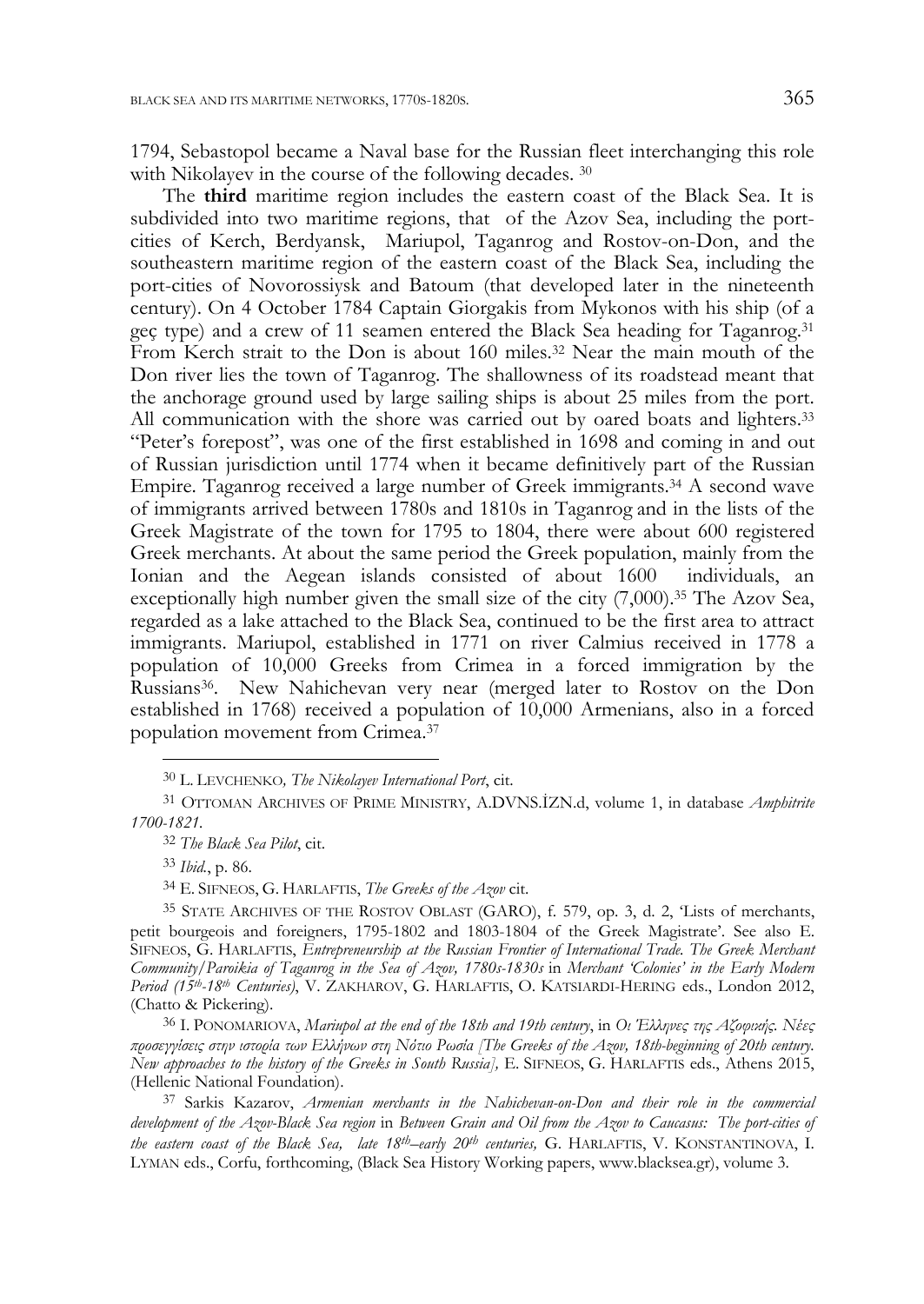1794, Sebastopol became a Naval base for the Russian fleet interchanging this role with Nikolayev in the course of the following decades. 30

The **third** maritime region includes the eastern coast of the Black Sea. It is subdivided into two maritime regions, that of the Azov Sea, including the portcities of Kerch, Berdyansk, Mariupol, Taganrog and Rostov-on-Don, and the southeastern maritime region of the eastern coast of the Black Sea, including the port-cities of Novorossiysk and Batoum (that developed later in the nineteenth century). On 4 October 1784 Captain Giorgakis from Mykonos with his ship (of a geç type) and a crew of 11 seamen entered the Black Sea heading for Taganrog.31 From Kerch strait to the Don is about 160 miles.32 Near the main mouth of the Don river lies the town of Taganrog. The shallowness of its roadstead meant that the anchorage ground used by large sailing ships is about 25 miles from the port. All communication with the shore was carried out by oared boats and lighters.33 "Peter's forepost", was one of the first established in 1698 and coming in and out of Russian jurisdiction until 1774 when it became definitively part of the Russian Empire. Taganrog received a large number of Greek immigrants.34 A second wave of immigrants arrived between 1780s and 1810s in Taganrog and in the lists of the Greek Magistrate of the town for 1795 to 1804, there were about 600 registered Greek merchants. At about the same period the Greek population, mainly from the Ionian and the Aegean islands consisted of about 1600 individuals, an exceptionally high number given the small size of the city (7,000).35 The Azov Sea, regarded as a lake attached to the Black Sea, continued to be the first area to attract immigrants. Mariupol, established in 1771 on river Calmius received in 1778 a population of 10,000 Greeks from Crimea in a forced immigration by the Russians36. New Nahichevan very near (merged later to Rostov on the Don established in 1768) received a population of 10,000 Armenians, also in a forced population movement from Crimea.37

-

37 Sarkis Kazarov, *Armenian merchants in the Nahichevan-on-Don and their role in the commercial development of the Azov-Black Sea region* in *Between Grain and Oil from the Azov to Caucasus: The port-cities of the eastern coast of the Black Sea, late 18th–early 20th centuries,* G. HARLAFTIS, V. KONSTANTINOVA, I. LYMAN eds., Corfu, forthcoming, (Black Sea History Working papers, www.blacksea.gr), volume 3.

<sup>30</sup> L. LEVCHENKO*, The Nikolayev International Port*, cit.

<sup>31</sup> OTTOMAN ARCHIVES OF PRIME MINISTRY, A.DVNS.İZN.d, volume 1, in database *Amphitrite 1700-1821.*

<sup>32</sup> *The Black Sea Pilot*, cit.

<sup>33</sup> *Ibid.*, p. 86.

<sup>34</sup> E. SIFNEOS, G. HARLAFTIS, *The Greeks of the Azov* cit.

<sup>35</sup> STATE ARCHIVES OF THE ROSTOV OBLAST (GARO), f. 579, op. 3, d. 2, 'Lists of merchants, petit bourgeois and foreigners, 1795-1802 and 1803-1804 of the Greek Magistrate'. See also E. SIFNEOS, G. HARLAFTIS, *Entrepreneurship at the Russian Frontier of International Trade. The Greek Merchant Community/Paroikia of Taganrog in the Sea of Azov, 1780s-1830s* in *Merchant 'Colonies' in the Early Modern Period (15th-18th Centuries)*, V. ZAKHAROV, G. HARLAFTIS, O. KATSIARDI-HERING eds., London 2012, (Chatto & Pickering).

<sup>36</sup> I. PONOMARIOVA, *Mariupol at the end of the 18th and 19th century*, in *Oι Έλληνες της Αζοφικής. Νέες προσεγγίσεις στην ιστορία των Ελλήνων στη Νότιο Ρωσία [The Greeks of the Azov, 18th-beginning of 20th century. New approaches to the history of the Greeks in South Russia],* E. SIFNEOS, G. HARLAFTIS eds., Athens 2015, (Hellenic National Foundation).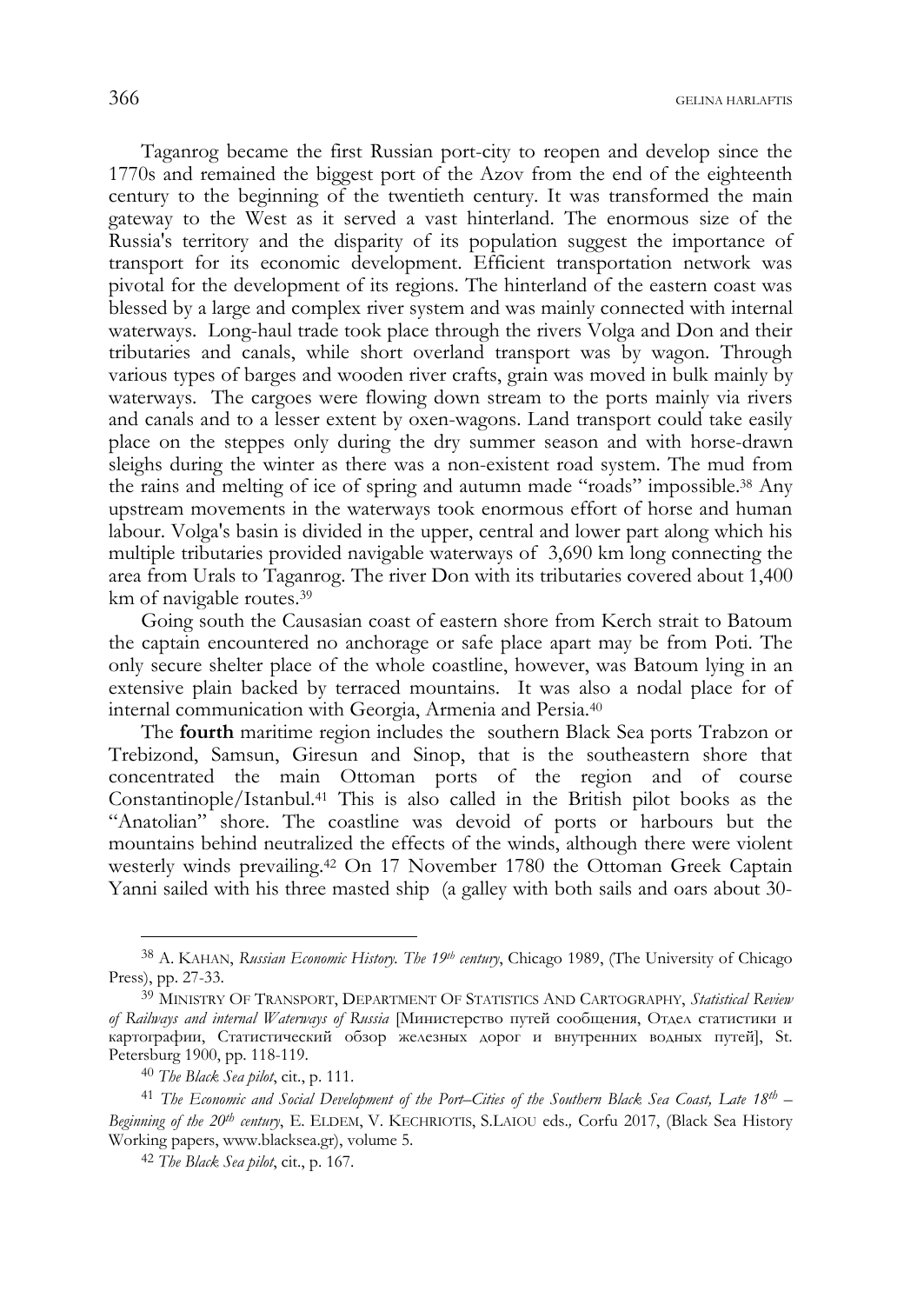Taganrog became the first Russian port-city to reopen and develop since the 1770s and remained the biggest port of the Azov from the end of the eighteenth century to the beginning of the twentieth century. It was transformed the main gateway to the West as it served a vast hinterland. The enormous size of the Russia's territory and the disparity of its population suggest the importance of transport for its economic development. Efficient transportation network was pivotal for the development of its regions. The hinterland of the eastern coast was blessed by a large and complex river system and was mainly connected with internal waterways. Long-haul trade took place through the rivers Volga and Don and their tributaries and canals, while short overland transport was by wagon. Through various types of barges and wooden river crafts, grain was moved in bulk mainly by waterways. The cargoes were flowing down stream to the ports mainly via rivers and canals and to a lesser extent by oxen-wagons. Land transport could take easily place on the steppes only during the dry summer season and with horse-drawn sleighs during the winter as there was a non-existent road system. The mud from the rains and melting of ice of spring and autumn made "roads" impossible.38 Any upstream movements in the waterways took enormous effort of horse and human labour. Volga's basin is divided in the upper, central and lower part along which his multiple tributaries provided navigable waterways of 3,690 km long connecting the area from Urals to Taganrog. The river Don with its tributaries covered about 1,400 km of navigable routes.39

Going south the Causasian coast of eastern shore from Kerch strait to Batoum the captain encountered no anchorage or safe place apart may be from Poti. The only secure shelter place of the whole coastline, however, was Batoum lying in an extensive plain backed by terraced mountains. It was also a nodal place for of internal communication with Georgia, Armenia and Persia.40

The **fourth** maritime region includes the southern Black Sea ports Trabzon or Trebizond, Samsun, Giresun and Sinop, that is the southeastern shore that concentrated the main Ottoman ports of the region and of course Constantinople/Istanbul.41 This is also called in the British pilot books as the "Anatolian" shore. The coastline was devoid of ports or harbours but the mountains behind neutralized the effects of the winds, although there were violent westerly winds prevailing.42 On 17 November 1780 the Ottoman Greek Captain Yanni sailed with his three masted ship (a galley with both sails and oars about 30-

<sup>38</sup> A. KAHAN, *Russian Economic History. The 19th century*, Chicago 1989, (The University of Chicago Press), pp. 27-33.

<sup>39</sup> MINISTRY OF TRANSPORT, DEPARTMENT OF STATISTICS AND CARTOGRAPHY, *Statistical Review of Railways and internal Waterways of Russia* [Министерство путей сообщения, Отдел статистики и картографии, Статистический обзор железных дорог и внутренних водных путей], St. Petersburg 1900, pp. 118-119.

<sup>40</sup> *The Black Sea pilot*, cit., p. 111.

<sup>41</sup> *The Economic and Social Development of the Port–Cities of the Southern Black Sea Coast, Late 18th – Beginning of the 20th century*, E. ELDEM, V. KECHRIOTIS, S.LAIOU eds.*,* Corfu 2017, (Black Sea History Working papers, www.blacksea.gr), volume 5.

<sup>42</sup> *The Black Sea pilot*, cit., p. 167.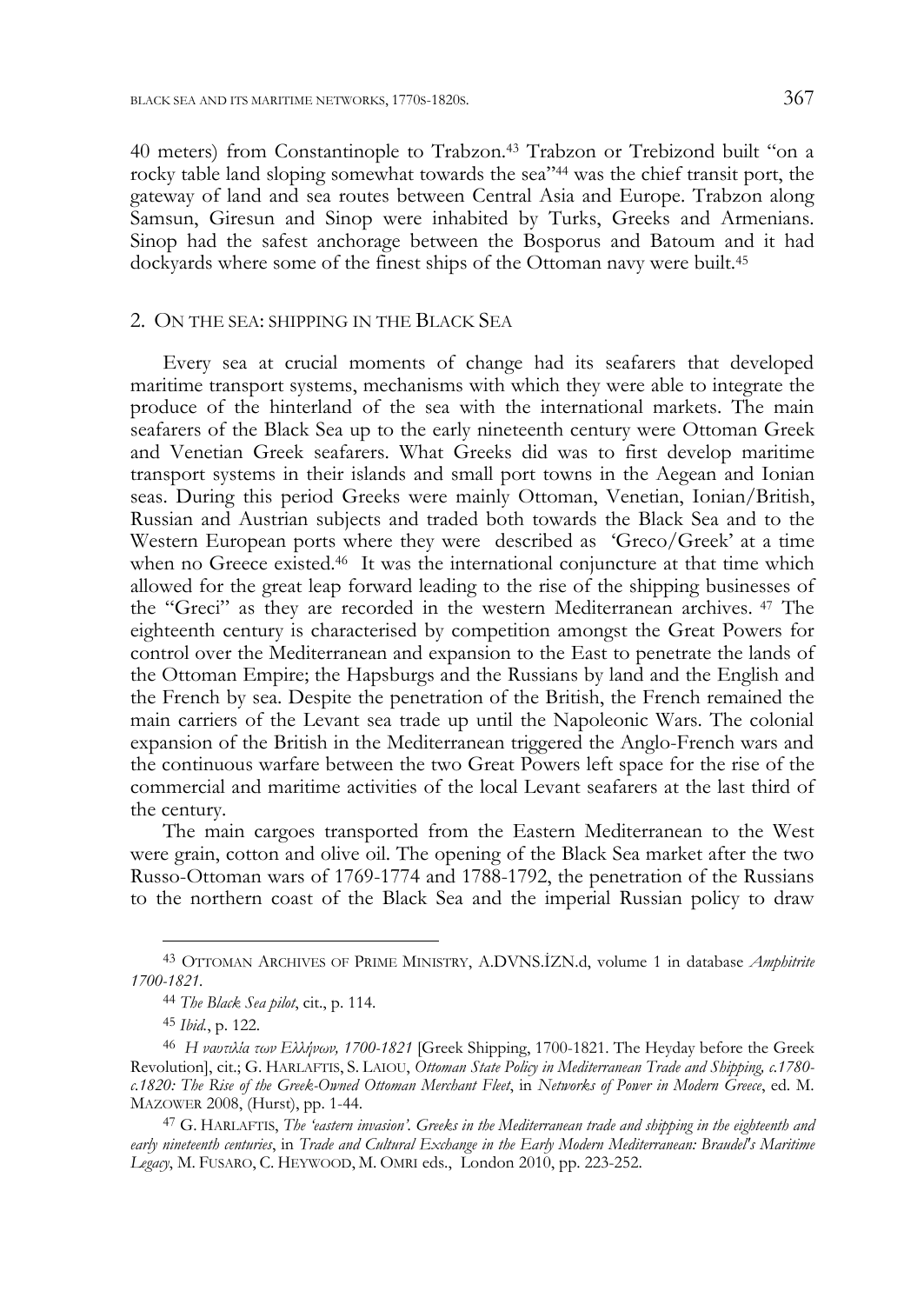40 meters) from Constantinople to Trabzon.43 Trabzon or Trebizond built "on a rocky table land sloping somewhat towards the sea"44 was the chief transit port, the gateway of land and sea routes between Central Asia and Europe. Trabzon along Samsun, Giresun and Sinop were inhabited by Turks, Greeks and Armenians. Sinop had the safest anchorage between the Bosporus and Batoum and it had dockyards where some of the finest ships of the Ottoman navy were built.<sup>45</sup>

#### 2. ON THE SEA: SHIPPING IN THE BLACK SEA

Every sea at crucial moments of change had its seafarers that developed maritime transport systems, mechanisms with which they were able to integrate the produce of the hinterland of the sea with the international markets. The main seafarers of the Black Sea up to the early nineteenth century were Ottoman Greek and Venetian Greek seafarers. What Greeks did was to first develop maritime transport systems in their islands and small port towns in the Aegean and Ionian seas. During this period Greeks were mainly Ottoman, Venetian, Ionian/British, Russian and Austrian subjects and traded both towards the Black Sea and to the Western European ports where they were described as 'Greco/Greek' at a time when no Greece existed.<sup>46</sup> It was the international conjuncture at that time which allowed for the great leap forward leading to the rise of the shipping businesses of the "Greci" as they are recorded in the western Μediterranean archives. 47 The eighteenth century is characterised by competition amongst the Great Powers for control over the Mediterranean and expansion to the East to penetrate the lands of the Ottoman Empire; the Hapsburgs and the Russians by land and the English and the French by sea. Despite the penetration of the British, the French remained the main carriers of the Levant sea trade up until the Napoleonic Wars. The colonial expansion of the British in the Mediterranean triggered the Anglo-French wars and the continuous warfare between the two Great Powers left space for the rise of the commercial and maritime activities of the local Levant seafarers at the last third of the century.

The main cargoes transported from the Eastern Mediterranean to the West were grain, cotton and olive oil. The opening of the Black Sea market after the two Russo-Ottoman wars of 1769-1774 and 1788-1792, the penetration of the Russians to the northern coast of the Black Sea and the imperial Russian policy to draw

<sup>43</sup> OTTOMAN ARCHIVES OF PRIME MINISTRY, A.DVNS.İZN.d, volume 1 in database *Amphitrite 1700-1821.*

<sup>44</sup> *The Black Sea pilot*, cit., p. 114.

<sup>45</sup> *Ibid.*, p. 122.

<sup>46</sup> *Η ναυτιλία των Ελλήνων, 1700-1821* [Greek Shipping, 1700-1821. The Heyday before the Greek Revolution], cit.; G. HARLAFTIS, S. LAIOU, *Ottoman State Policy in Mediterranean Trade and Shipping, c.1780 c.1820: The Rise of the Greek-Owned Ottoman Merchant Fleet*, in *Networks of Power in Modern Greece*, ed. M. MAZOWER 2008, (Hurst), pp. 1-44.

<sup>47</sup> G. HARLAFTIS, *Τhe 'eastern invasion'. Greeks in the Mediterranean trade and shipping in the eighteenth and early nineteenth centuries*, in *Trade and Cultural Exchange in the Early Modern Mediterranean: Braudel's Maritime Legacy*, M. FUSARO, C. HEYWOOD, M. OMRI eds., London 2010, pp. 223-252.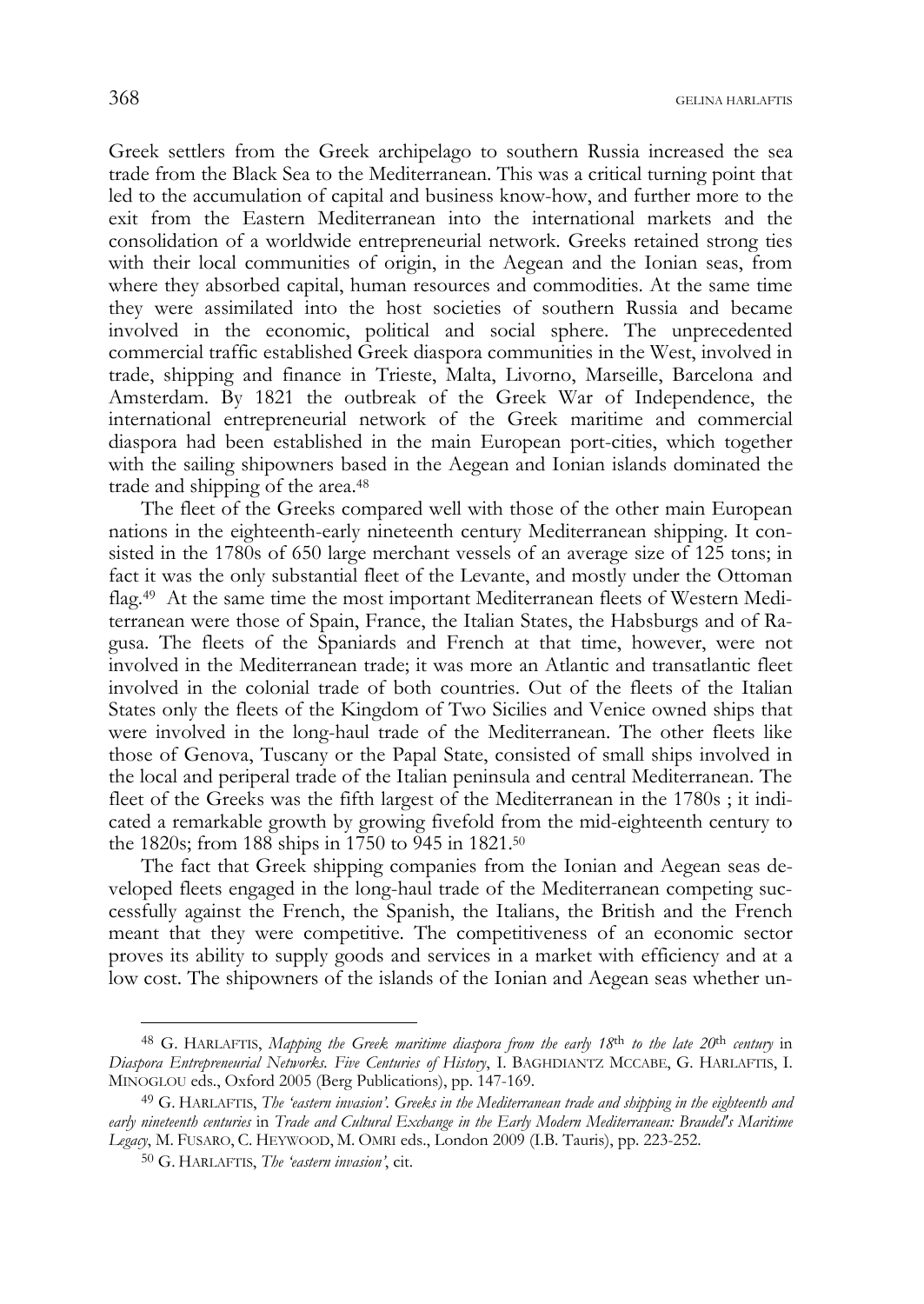Greek settlers from the Greek archipelago to southern Russia increased the sea trade from the Black Sea to the Mediterranean. This was a critical turning point that led to the accumulation of capital and business know-how, and further more to the exit from the Eastern Mediterranean into the international markets and the consolidation of a worldwide entrepreneurial network*.* Greeks retained strong ties with their local communities of origin, in the Aegean and the Ionian seas, from where they absorbed capital, human resources and commodities. At the same time they were assimilated into the host societies of southern Russia and became involved in the economic, political and social sphere. The unprecedented commercial traffic established Greek diaspora communities in the West, involved in trade, shipping and finance in Trieste, Malta, Livorno, Marseille, Barcelona and Amsterdam. By 1821 the outbreak of the Greek War of Independence, the international entrepreneurial network of the Greek maritime and commercial diaspora had been established in the main European port-cities, which together with the sailing shipowners based in the Aegean and Ionian islands dominated the trade and shipping of the area.<sup>48</sup>

The fleet of the Greeks compared well with those of the other main European nations in the eighteenth-early nineteenth century Mediterranean shipping. It consisted in the 1780s of 650 large merchant vessels of an average size of 125 tons; in fact it was the only substantial fleet of the Levante, and mostly under the Ottoman flag.49 At the same time the most important Mediterranean fleets of Western Mediterranean were those of Spain, France, the Italian States, the Habsburgs and of Ragusa. The fleets of the Spaniards and French at that time, however, were not involved in the Mediterranean trade; it was more an Atlantic and transatlantic fleet involved in the colonial trade of both countries. Out of the fleets of the Italian States only the fleets of the Kingdom of Two Sicilies and Venice owned ships that were involved in the long-haul trade of the Mediterranean. The other fleets like those of Genova, Tuscany or the Papal State, consisted of small ships involved in the local and periperal trade of the Italian peninsula and central Mediterranean. The fleet of the Greeks was the fifth largest of the Mediterranean in the 1780s ; it indicated a remarkable growth by growing fivefold from the mid-eighteenth century to the 1820s; from 188 ships in 1750 to 945 in 1821.50

The fact that Greek shipping companies from the Ionian and Aegean seas developed fleets engaged in the long-haul trade of the Mediterranean competing successfully against the French, the Spanish, the Italians, the British and the French meant that they were competitive. The competitiveness of an economic sector proves its ability to supply goods and services in a market with efficiency and at a low cost. The shipowners of the islands of the Ionian and Aegean seas whether un-

<sup>48</sup> G. HARLAFTIS, *Mapping the Greek maritime diaspora from the early 18*th *to the late 20*th *century* in *Diaspora Entrepreneurial Networks. Five Centuries of History*, I. BAGHDIANTZ MCCABE, G. HARLAFTIS, I. MINOGLOU eds., Oxford 2005 (Berg Publications), pp. 147-169.

<sup>49</sup> G. HARLAFTIS, *Τhe 'eastern invasion'. Greeks in the Mediterranean trade and shipping in the eighteenth and*  early nineteenth centuries in *Trade and Cultural Exchange in the Early Modern Mediterranean: Braudel's Maritime Legacy*, M. FUSARO, C. HEYWOOD, M. OMRI eds., London 2009 (I.B. Tauris), pp. 223-252.

<sup>50</sup> G. HARLAFTIS, *Τhe 'eastern invasion'*, cit.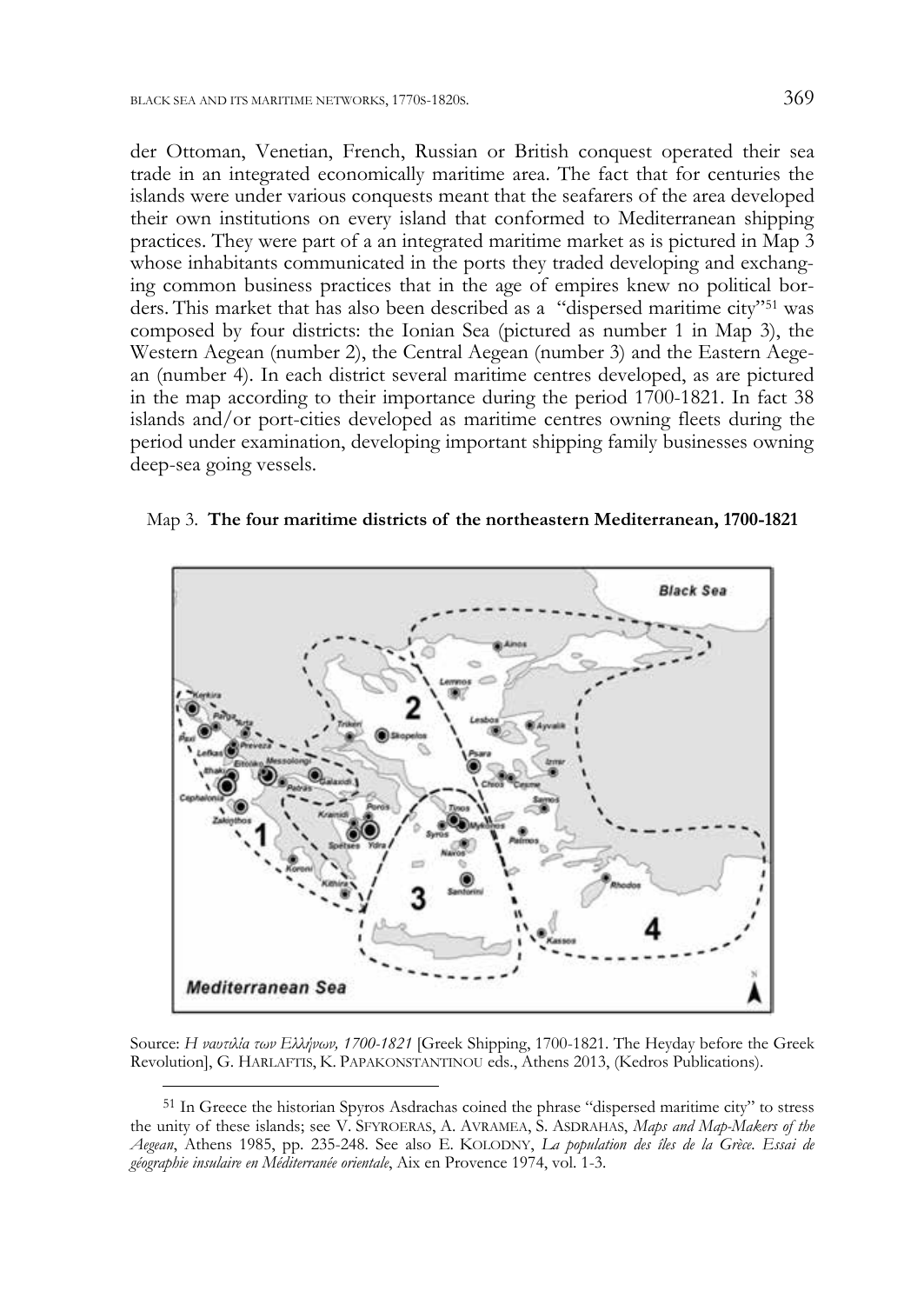der Ottoman, Venetian, French, Russian or British conquest operated their sea trade in an integrated economically maritime area. The fact that for centuries the islands were under various conquests meant that the seafarers of the area developed their own institutions on every island that conformed to Mediterranean shipping practices. They were part of a an integrated maritime market as is pictured in Map 3 whose inhabitants communicated in the ports they traded developing and exchanging common business practices that in the age of empires knew no political borders. This market that has also been described as a "dispersed maritime city"51 was composed by four districts: the Ionian Sea (pictured as number 1 in Map 3), the Western Aegean (number 2), the Central Aegean (number 3) and the Eastern Aegean (number 4). In each district several maritime centres developed, as are pictured in the map according to their importance during the period 1700-1821. In fact 38 islands and/or port-cities developed as maritime centres owning fleets during the period under examination, developing important shipping family businesses owning deep-sea going vessels.





Source: *Η ναυτιλία των Ελλήνων, 1700-1821* [Greek Shipping, 1700-1821. The Heyday before the Greek Revolution], G. HARLAFTIS, K. PAPAKONSTANTINOU eds., Athens 2013, (Kedros Publications).

<sup>51</sup> In Greece the historian Spyros Asdrachas coined the phrase "dispersed maritime city" to stress the unity of these islands; see V. SFYROERAS, A. AVRAMEA, S. ASDRAHAS, *Maps and Map-Makers of the Aegean*, Athens 1985, pp. 235-248. See also E. KOLODNY, *La population des îles de la Grèce. Essai de géographie insulaire en Méditerranée orientale*, Aix en Provence 1974, vol. 1-3.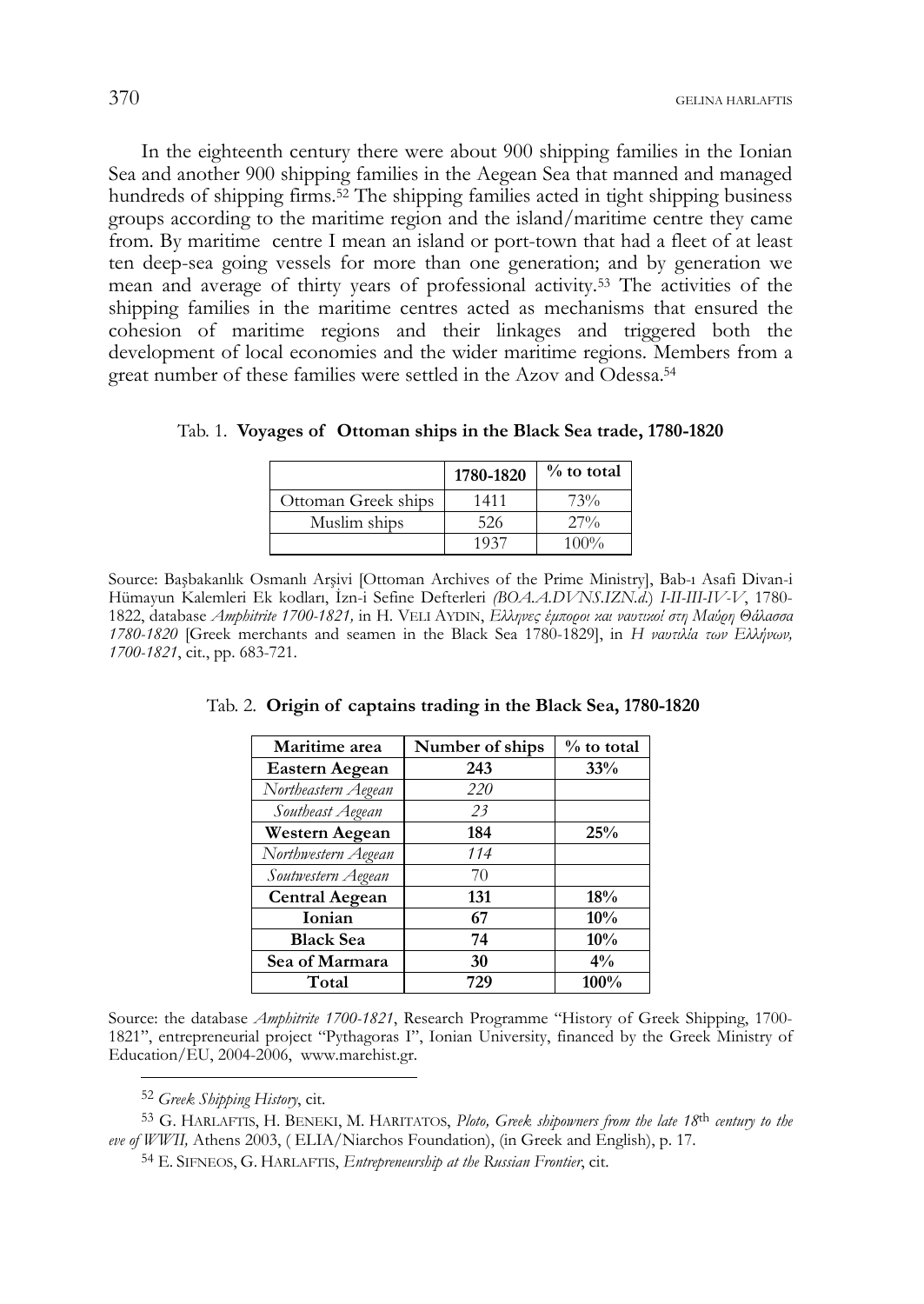In the eighteenth century there were about 900 shipping families in the Ionian Sea and another 900 shipping families in the Aegean Sea that manned and managed hundreds of shipping firms.<sup>52</sup> The shipping families acted in tight shipping business groups according to the maritime region and the island/maritime centre they came from. By maritime centre I mean an island or port-town that had a fleet of at least ten deep-sea going vessels for more than one generation; and by generation we mean and average of thirty years of professional activity.53 The activities of the shipping families in the maritime centres acted as mechanisms that ensured the cohesion of maritime regions and their linkages and triggered both the development of local economies and the wider maritime regions. Members from a great number of these families were settled in the Azov and Odessa.54

|                     | 1780-1820 | $\%$ to total |
|---------------------|-----------|---------------|
| Ottoman Greek ships | 1411      | 73%           |
| Muslim ships        | 526       | $27\%$        |
|                     | 1937      | $100\%$       |

Tab. 1. **Voyages of Ottoman ships in the Black Sea trade, 1780-1820** 

Source: Başbakanlk Osmanl Arşivi [Ottoman Archives of the Prime Ministry], Bab- Asafi Divan-i Hümayun Kalemleri Ek kodlar, İzn-i Sefine Defterleri *(BOA.A.DVNS.IZN.d*.) *I-II-III-IV-V*, 1780- 1822, database *Amphitrite 1700-1821,* in H. VELI AYDIN, *Eλληνες έμποροι και ναυτικοί στη Μαύρη Θάλασσα 1780-1820* [Greek merchants and seamen in the Black Sea 1780-1829], in *Η ναυτιλία των Ελλήνων, 1700-1821*, cit., pp. 683-721.

| Maritime area         | Number of ships | $%$ to total |  |
|-----------------------|-----------------|--------------|--|
| <b>Eastern Aegean</b> | 243             | 33%          |  |
| Northeastern Aegean   | 220             |              |  |
| Southeast Aegean      | 23              |              |  |
| <b>Western Aegean</b> | 184             | 25%          |  |
| Northwestern Aegean   | 114             |              |  |
| Soutwestern Aegean    | 70              |              |  |
| <b>Central Aegean</b> | 131             | 18%          |  |
| <b>Ionian</b>         | 67              | 10%          |  |
| <b>Black Sea</b>      | 74              | 10%          |  |
| Sea of Marmara        | 30              | $4\%$        |  |
| Total                 | 729             | 100%         |  |

Tab. 2. **Origin of captains trading in the Black Sea, 1780-1820** 

Source: the database *Amphitrite 1700-1821*, Research Programme "History of Greek Shipping, 1700- 1821", entrepreneurial project "Pythagoras I", Ionian University, financed by the Greek Ministry of Education/EU, 2004-2006, www.marehist.gr.

j

53 G. HARLAFTIS, H. BENEKI, M. HARITATOS, *Ploto, Greek shipowners from the late 18*th *century to the eve of WWII,* Athens 2003, ( ELIA/Niarchos Foundation), (in Greek and English), p. 17.

<sup>52</sup> *Greek Shipping History*, cit.

<sup>54</sup> E. SIFNEOS, G. HARLAFTIS, *Entrepreneurship at the Russian Frontier*, cit.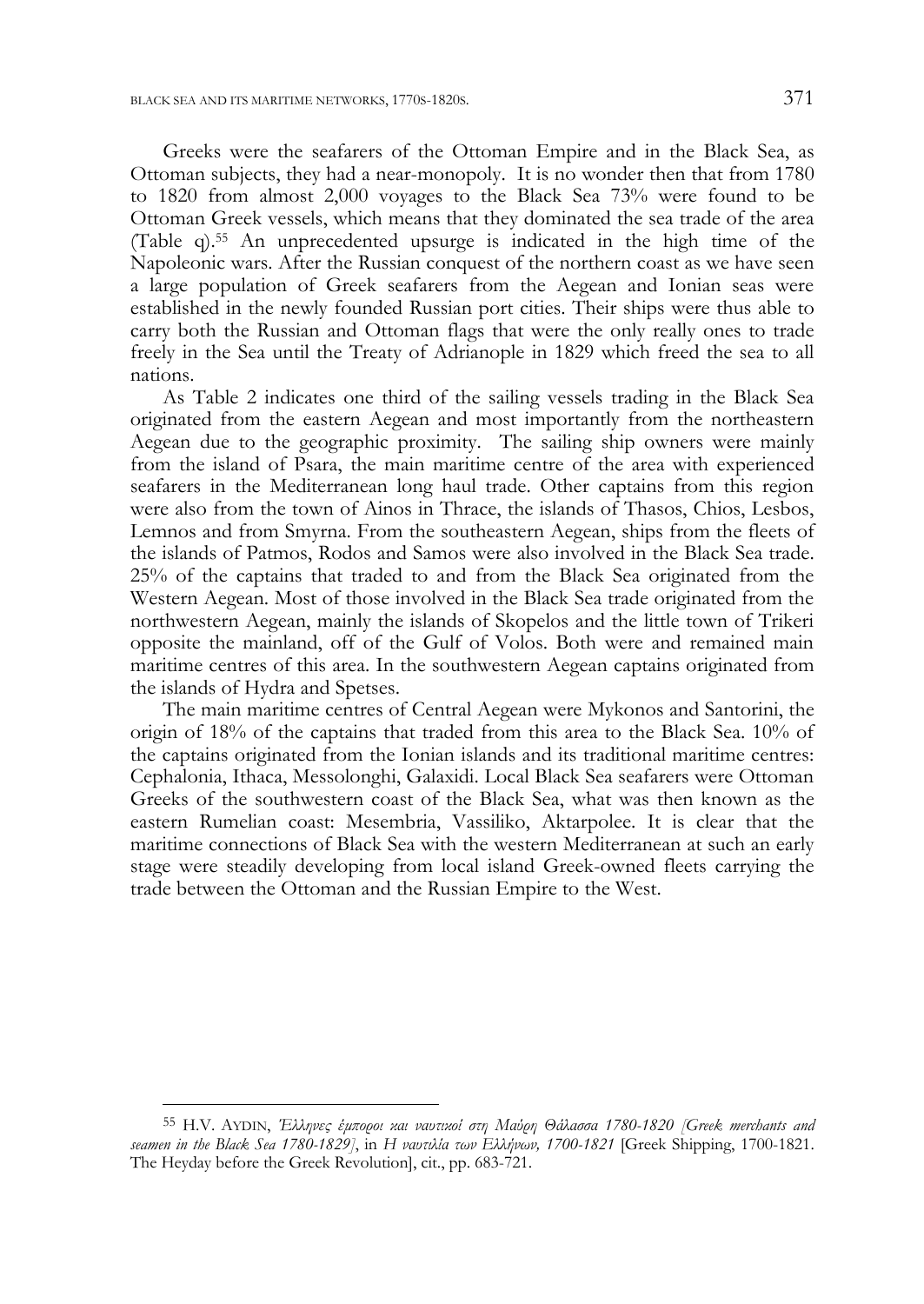Greeks were the seafarers of the Ottoman Empire and in the Black Sea, as Ottoman subjects, they had a near-monopoly. It is no wonder then that from 1780 to 1820 from almost 2,000 voyages to the Black Sea 73% were found to be Ottoman Greek vessels, which means that they dominated the sea trade of the area (Table q).55 An unprecedented upsurge is indicated in the high time of the Napoleonic wars. After the Russian conquest of the northern coast as we have seen a large population of Greek seafarers from the Aegean and Ionian seas were established in the newly founded Russian port cities. Their ships were thus able to carry both the Russian and Ottoman flags that were the only really ones to trade freely in the Sea until the Treaty of Adrianople in 1829 which freed the sea to all nations.

As Table 2 indicates one third of the sailing vessels trading in the Black Sea originated from the eastern Aegean and most importantly from the northeastern Aegean due to the geographic proximity. The sailing ship owners were mainly from the island of Psara, the main maritime centre of the area with experienced seafarers in the Mediterranean long haul trade. Other captains from this region were also from the town of Ainos in Thrace, the islands of Thasos, Chios, Lesbos, Lemnos and from Smyrna. From the southeastern Aegean, ships from the fleets of the islands of Patmos, Rodos and Samos were also involved in the Black Sea trade. 25% of the captains that traded to and from the Black Sea originated from the Western Aegean. Most of those involved in the Black Sea trade originated from the northwestern Aegean, mainly the islands of Skopelos and the little town of Trikeri opposite the mainland, off of the Gulf of Volos. Both were and remained main maritime centres of this area. In the southwestern Aegean captains originated from the islands of Hydra and Spetses.

The main maritime centres of Central Aegean were Mykonos and Santorini, the origin of 18% of the captains that traded from this area to the Black Sea. 10% of the captains originated from the Ionian islands and its traditional maritime centres: Cephalonia, Ithaca, Messolonghi, Galaxidi. Local Black Sea seafarers were Ottoman Greeks of the southwestern coast of the Black Sea, what was then known as the eastern Rumelian coast: Mesembria, Vassiliko, Aktarpolee. It is clear that the maritime connections of Black Sea with the western Mediterranean at such an early stage were steadily developing from local island Greek-owned fleets carrying the trade between the Ottoman and the Russian Empire to the West.

j

<sup>55</sup> H.V. AYDIN, *Έλληνες έμποροι και ναυτικοί στη Μαύρη Θάλασσα 1780-1820 [Greek merchants and seamen in the Black Sea 1780-1829]*, in *Η ναυτιλία των Ελλήνων, 1700-1821* [Greek Shipping, 1700-1821. The Heyday before the Greek Revolution], cit., pp. 683-721.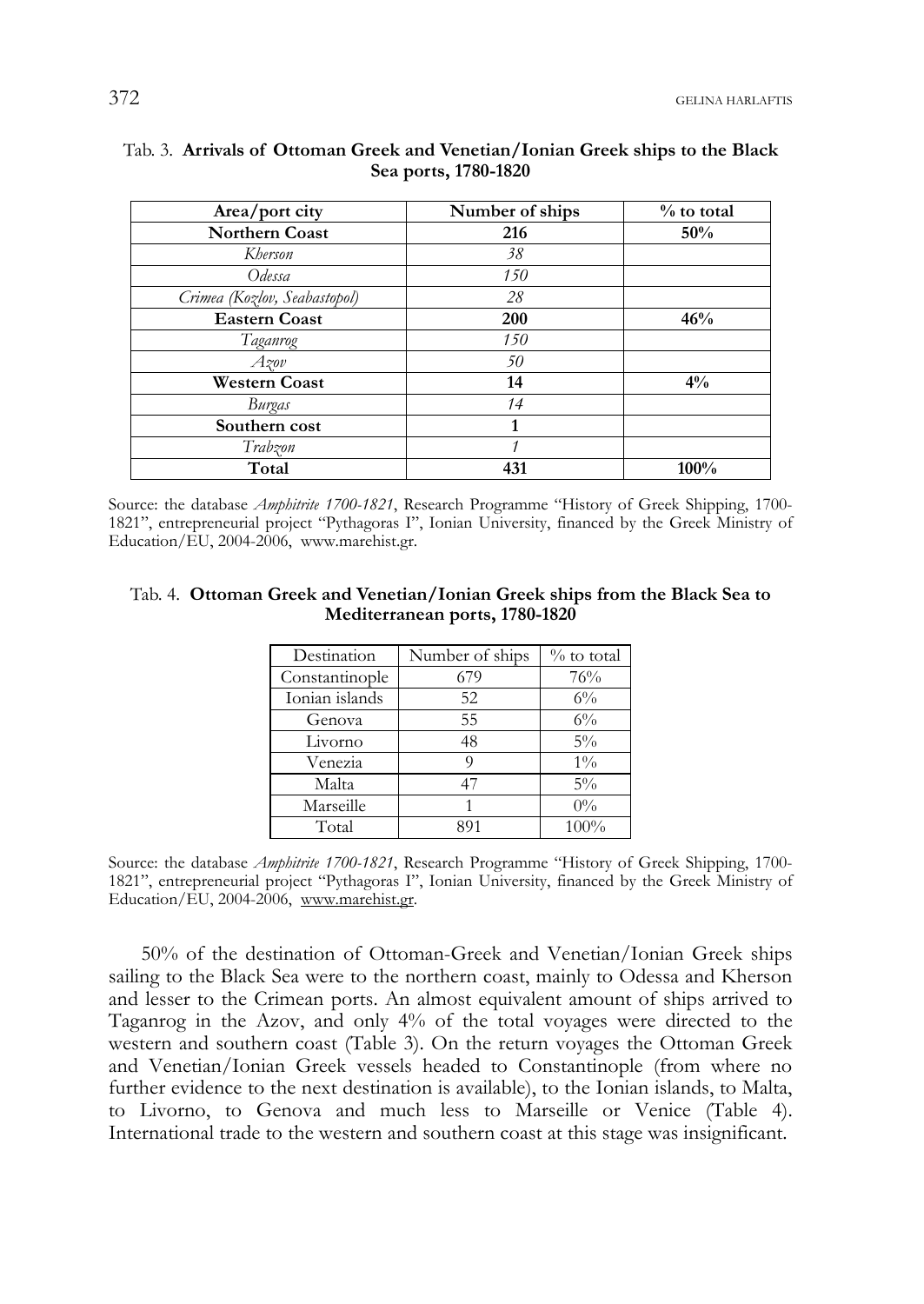# **Area/port city Number of ships** % to total **Northern Coast** 216 50% **Northern Coast** 216 *Kherson 38 Odessa 150 Crimea (Kozlov, Seabastopol) 28*  **Eastern Coast** 200 46% *Taganrog 150 Azov 50*  **Western Coast** 14 14 4<sup>%</sup> *Burgas* 14<br> **thern** cost 1

### Tab. 3. **Arrivals of Ottoman Greek and Venetian/Ionian Greek ships to the Black Sea ports, 1780-1820**

Source: the database *Amphitrite 1700-1821*, Research Programme "History of Greek Shipping, 1700- 1821", entrepreneurial project "Pythagoras I", Ionian University, financed by the Greek Ministry of Education/EU, 2004-2006, www.marehist.gr.

Total 431 100<sup>%</sup>

*Trabzon 1* 

**Southern cost** 

#### Tab. 4. **Ottoman Greek and Venetian/Ionian Greek ships from the Black Sea to Mediterranean ports, 1780-1820**

| Destination    | Number of ships | $\%$ to total |  |
|----------------|-----------------|---------------|--|
| Constantinople | 679             | 76%           |  |
| Ionian islands | 52              | $6\%$         |  |
| Genova         | 55              | $6\%$         |  |
| Livorno        | 48              | $5\%$         |  |
| Venezia        | Q               | $1\%$         |  |
| Malta          | 47              | $5\%$         |  |
| Marseille      |                 | $0\%$         |  |
| Total          | 891             | 100%          |  |

Source: the database *Amphitrite 1700-1821*, Research Programme "History of Greek Shipping, 1700- 1821", entrepreneurial project "Pythagoras I", Ionian University, financed by the Greek Ministry of Education/EU, 2004-2006, www.marehist.gr.

50% of the destination of Ottoman-Greek and Venetian/Ionian Greek ships sailing to the Black Sea were to the northern coast, mainly to Odessa and Kherson and lesser to the Crimean ports. An almost equivalent amount of ships arrived to Taganrog in the Azov, and only 4% of the total voyages were directed to the western and southern coast (Table 3). On the return voyages the Ottoman Greek and Venetian/Ionian Greek vessels headed to Constantinople (from where no further evidence to the next destination is available), to the Ionian islands, to Malta, to Livorno, to Genova and much less to Marseille or Venice (Table 4). International trade to the western and southern coast at this stage was insignificant.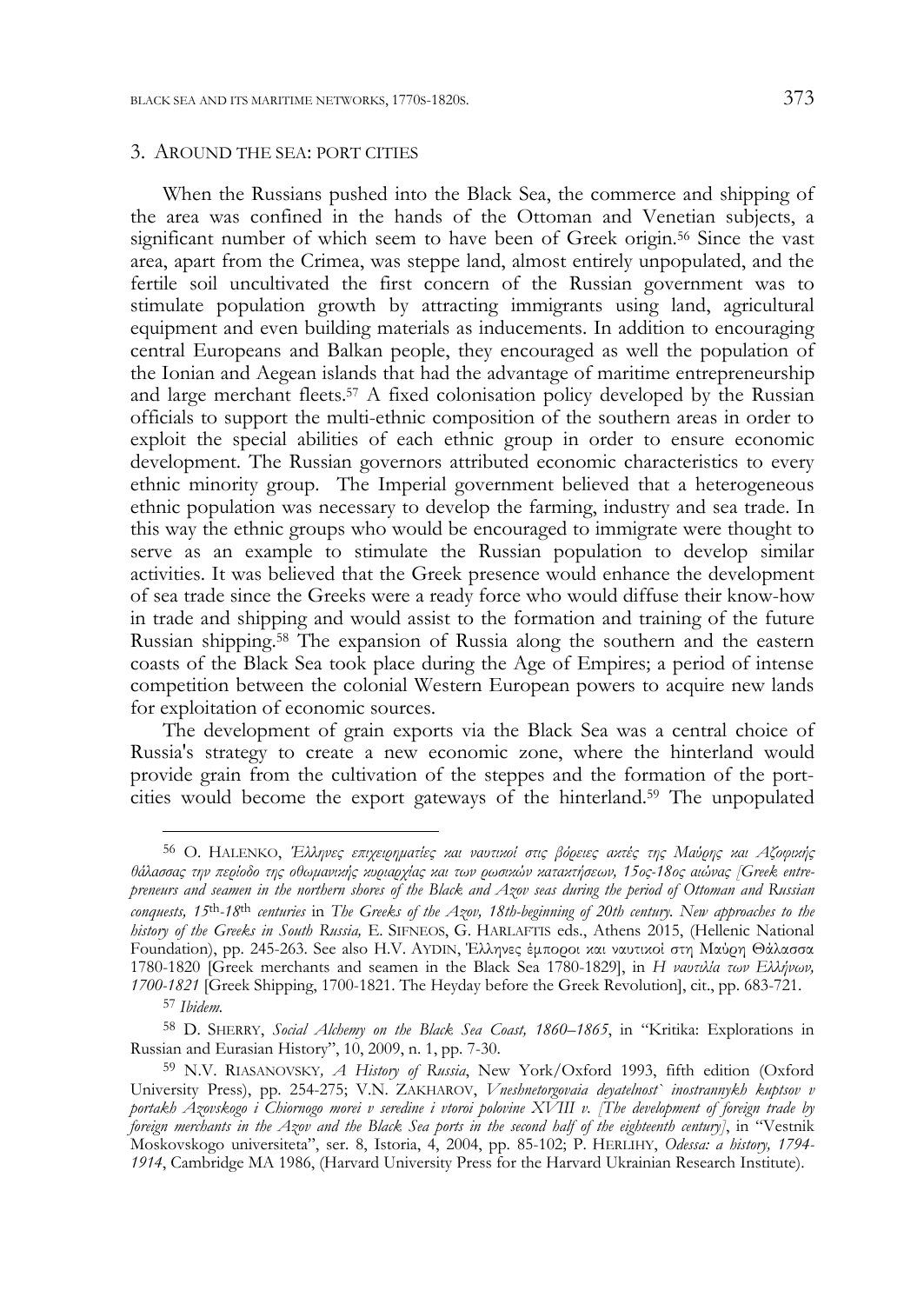#### 3. AROUND THE SEA: PORT CITIES

When the Russians pushed into the Black Sea, the commerce and shipping of the area was confined in the hands of the Ottoman and Venetian subjects, a significant number of which seem to have been of Greek origin.<sup>56</sup> Since the vast area, apart from the Crimea, was steppe land, almost entirely unpopulated, and the fertile soil uncultivated the first concern of the Russian government was to stimulate population growth by attracting immigrants using land, agricultural equipment and even building materials as inducements. In addition to encouraging central Europeans and Balkan people, they encouraged as well the population of the Ionian and Aegean islands that had the advantage of maritime entrepreneurship and large merchant fleets.<sup>57</sup> A fixed colonisation policy developed by the Russian officials to support the multi-ethnic composition of the southern areas in order to exploit the special abilities of each ethnic group in order to ensure economic development. The Russian governors attributed economic characteristics to every ethnic minority group. The Imperial government believed that a heterogeneous ethnic population was necessary to develop the farming, industry and sea trade. In this way the ethnic groups who would be encouraged to immigrate were thought to serve as an example to stimulate the Russian population to develop similar activities. It was believed that the Greek presence would enhance the development of sea trade since the Greeks were a ready force who would diffuse their know-how in trade and shipping and would assist to the formation and training of the future Russian shipping.58 The expansion of Russia along the southern and the eastern coasts of the Black Sea took place during the Age of Empires; a period of intense competition between the colonial Western European powers to acquire new lands for exploitation of economic sources.

The development of grain exports via the Black Sea was a central choice of Russia's strategy to create a new economic zone, where the hinterland would provide grain from the cultivation of the steppes and the formation of the portcities would become the export gateways of the hinterland.59 The unpopulated

<sup>56</sup> O. HALENKO, *Έλληνες επιχειρηματίες και ναυτικοί στις βόρειες ακτές της Μαύρης και Αζοφικής θάλασσας την περίοδο της οθωμανικής κυριαρχίας και των ρωσικών κατακτήσεων, 15ος-18ος αιώνας [Greek entrepreneurs and seamen in the northern shores of the Black and Azov seas during the period of Ottoman and Russian conquests, 15*th*-18*th *centuries* in *The Greeks of the Azov, 18th-beginning of 20th century. New approaches to the history of the Greeks in South Russia,* E. SIFNEOS, G. HARLAFTIS eds., Athens 2015, (Hellenic National Foundation), pp. 245-263. See also H.V. AYDIN, Έλληνες έμποροι και ναυτικοί στη Μαύρη Θάλασσα 1780-1820 [Greek merchants and seamen in the Black Sea 1780-1829], in *Η ναυτιλία των Ελλήνων, 1700-1821* [Greek Shipping, 1700-1821. The Heyday before the Greek Revolution], cit., pp. 683-721.

<sup>57</sup> *Ibidem.*

<sup>58</sup> D. SHERRY, *Social Alchemy on the Black Sea Coast, 1860–1865*, in "Kritika: Explorations in Russian and Eurasian History", 10, 2009, n. 1, pp. 7-30.

<sup>59</sup> N.V. RIASANOVSKY*, A History of Russia*, New York/Oxford 1993, fifth edition (Oxford University Press), pp. 254-275; V.N. ZAKHAROV, *Vneshnetorgovaia deyatelnost` inostrannykh kuptsov v portakh Azovskogo i Chiornogo morei v seredine i vtoroi polovine XVIII v. [The development of foreign trade by foreign merchants in the Azov and the Black Sea ports in the second half of the eighteenth century]*, in "Vestnik Moskovskogo universiteta", ser. 8, Istoria, 4, 2004, pp. 85-102; P. HERLIHY, *Odessa: a history, 1794- 1914*, Cambridge MA 1986, (Harvard University Press for the Harvard Ukrainian Research Institute).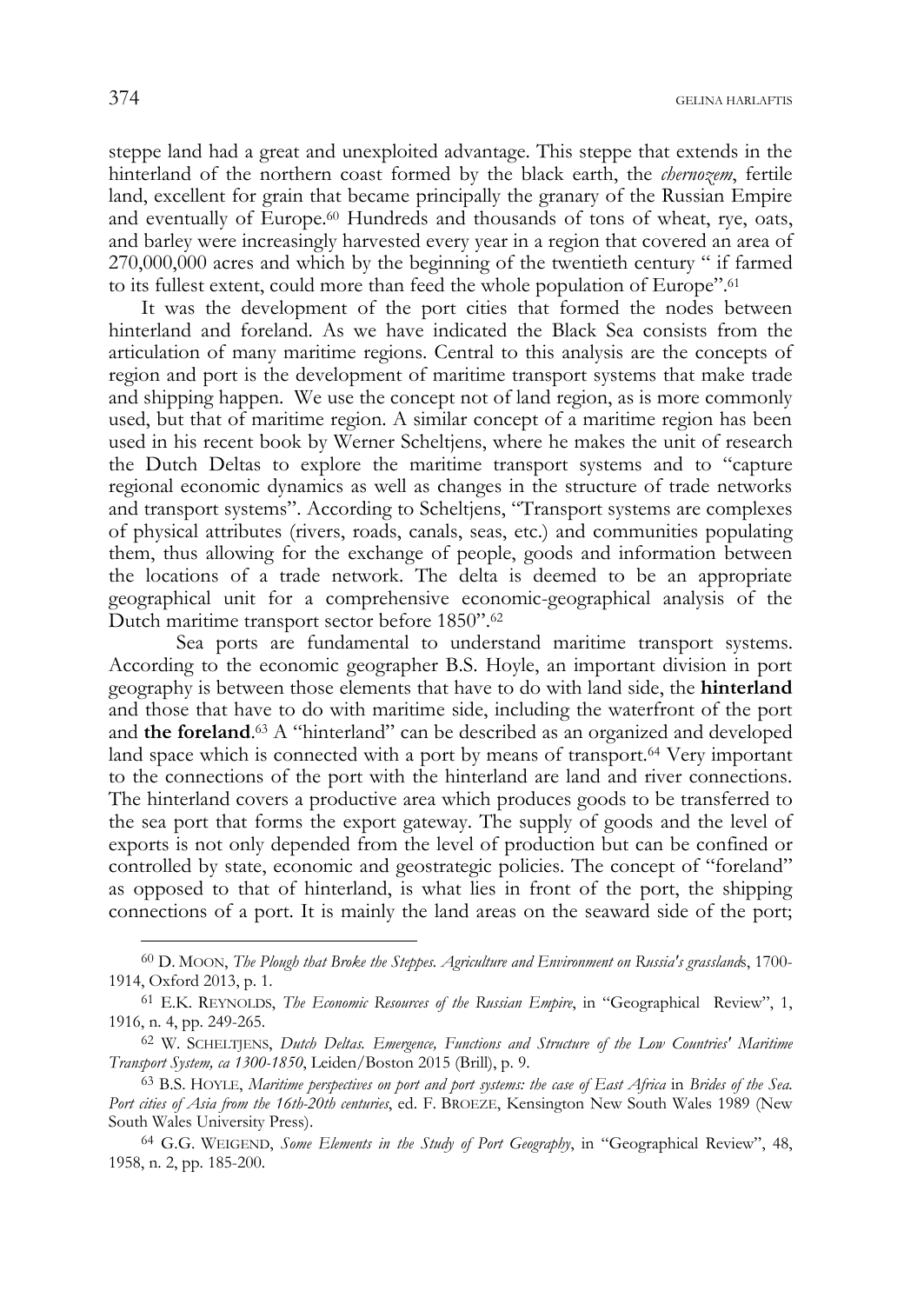steppe land had a great and unexploited advantage. This steppe that extends in the hinterland of the northern coast formed by the black earth, the *chernozem*, fertile land, excellent for grain that became principally the granary of the Russian Empire and eventually of Europe.60 Hundreds and thousands of tons of wheat, rye, oats, and barley were increasingly harvested every year in a region that covered an area of 270,000,000 acres and which by the beginning of the twentieth century " if farmed to its fullest extent, could more than feed the whole population of Europe".61

It was the development of the port cities that formed the nodes between hinterland and foreland. As we have indicated the Black Sea consists from the articulation of many maritime regions. Central to this analysis are the concepts of region and port is the development of maritime transport systems that make trade and shipping happen. We use the concept not of land region, as is more commonly used, but that of maritime region. A similar concept of a maritime region has been used in his recent book by Werner Scheltjens, where he makes the unit of research the Dutch Deltas to explore the maritime transport systems and to "capture regional economic dynamics as well as changes in the structure of trade networks and transport systems". According to Scheltjens, "Transport systems are complexes of physical attributes (rivers, roads, canals, seas, etc.) and communities populating them, thus allowing for the exchange of people, goods and information between the locations of a trade network. The delta is deemed to be an appropriate geographical unit for a comprehensive economic-geographical analysis of the Dutch maritime transport sector before 1850".62

 Sea ports are fundamental to understand maritime transport systems. According to the economic geographer B.S. Hoyle, an important division in port geography is between those elements that have to do with land side, the **hinterland** and those that have to do with maritime side, including the waterfront of the port and **the foreland**. 63 A "hinterland" can be described as an organized and developed land space which is connected with a port by means of transport.<sup>64</sup> Very important to the connections of the port with the hinterland are land and river connections. The hinterland covers a productive area which produces goods to be transferred to the sea port that forms the export gateway. The supply of goods and the level of exports is not only depended from the level of production but can be confined or controlled by state, economic and geostrategic policies. The concept of "foreland" as opposed to that of hinterland, is what lies in front of the port, the shipping connections of a port. It is mainly the land areas on the seaward side of the port;

<sup>60</sup> D. MOON, *The Plough that Broke the Steppes. Agriculture and Environment on Russia's grassland*s, 1700- 1914, Oxford 2013, p. 1.

<sup>61</sup> E.K. REYNOLDS, *The Economic Resources of the Russian Empire*, in "Geographical Review", 1, 1916, n. 4, pp. 249-265.

<sup>62</sup> W. SCHELTJENS, *Dutch Deltas. Emergence, Functions and Structure of the Low Countries' Maritime Transport System, ca 1300-1850*, Leiden/Boston 2015 (Brill), p. 9.

<sup>63</sup> B.S. HOYLE, *Maritime perspectives on port and port systems: the case of East Africa* in *Brides of the Sea. Port cities of Asia from the 16th-20th centuries*, ed. F. BROEZE, Kensington New South Wales 1989 (New South Wales University Press).

<sup>64</sup> G.G. WEIGEND, *Some Elements in the Study of Port Geography*, in "Geographical Review", 48, 1958, n. 2, pp. 185-200.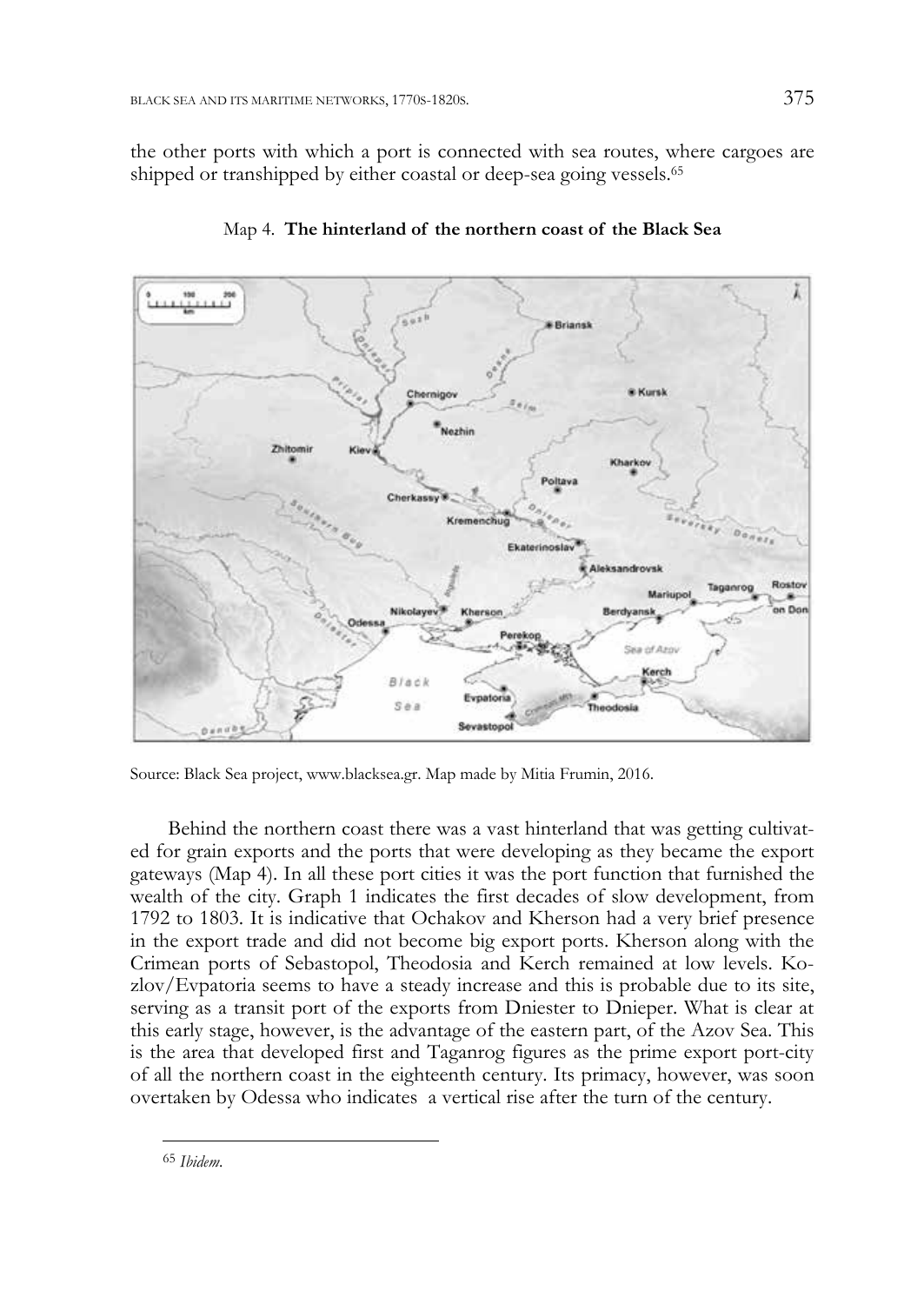the other ports with which a port is connected with sea routes, where cargoes are shipped or transhipped by either coastal or deep-sea going vessels.<sup>65</sup>



Map 4. **The hinterland of the northern coast of the Black Sea** 

Source: Black Sea project, www.blacksea.gr. Map made by Mitia Frumin, 2016.

 Behind the northern coast there was a vast hinterland that was getting cultivated for grain exports and the ports that were developing as they became the export gateways (Map 4). In all these port cities it was the port function that furnished the wealth of the city. Graph 1 indicates the first decades of slow development, from 1792 to 1803. It is indicative that Ochakov and Kherson had a very brief presence in the export trade and did not become big export ports. Kherson along with the Crimean ports of Sebastopol, Theodosia and Kerch remained at low levels. Kozlov/Evpatoria seems to have a steady increase and this is probable due to its site, serving as a transit port of the exports from Dniester to Dnieper. What is clear at this early stage, however, is the advantage of the eastern part, of the Azov Sea. This is the area that developed first and Taganrog figures as the prime export port-city of all the northern coast in the eighteenth century. Its primacy, however, was soon overtaken by Odessa who indicates a vertical rise after the turn of the century.

<sup>-</sup><sup>65</sup> *Ibidem*.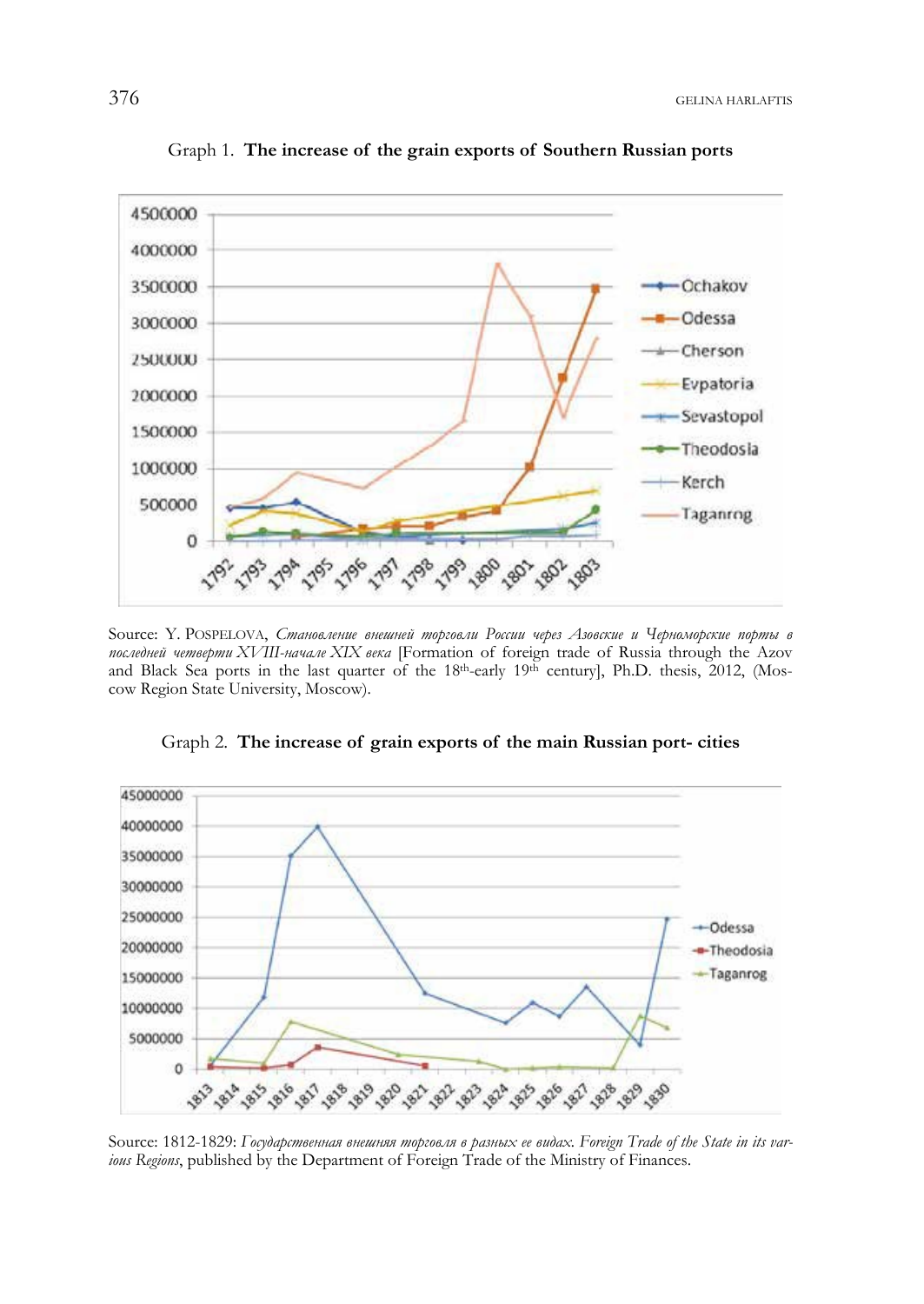

Graph 1. **The increase of the grain exports of Southern Russian ports** 

Source: Y. POSPELOVA, *Становление внешней торговли России через Азовские и Черноморские порты в последней четверти XVIII-начале XIX века* [Formation of foreign trade of Russia through the Azov and Black Sea ports in the last quarter of the 18th-early 19th century], Ph.D. thesis, 2012, (Moscow Region State University, Moscow).



Graph 2. **The increase of grain exports of the main Russian port- cities** 

Source: 1812-1829: *Государственная внешняя торговля в разных ее видах. Foreign Trade of the State in its various Regions*, published by the Department of Foreign Trade of the Ministry of Finances.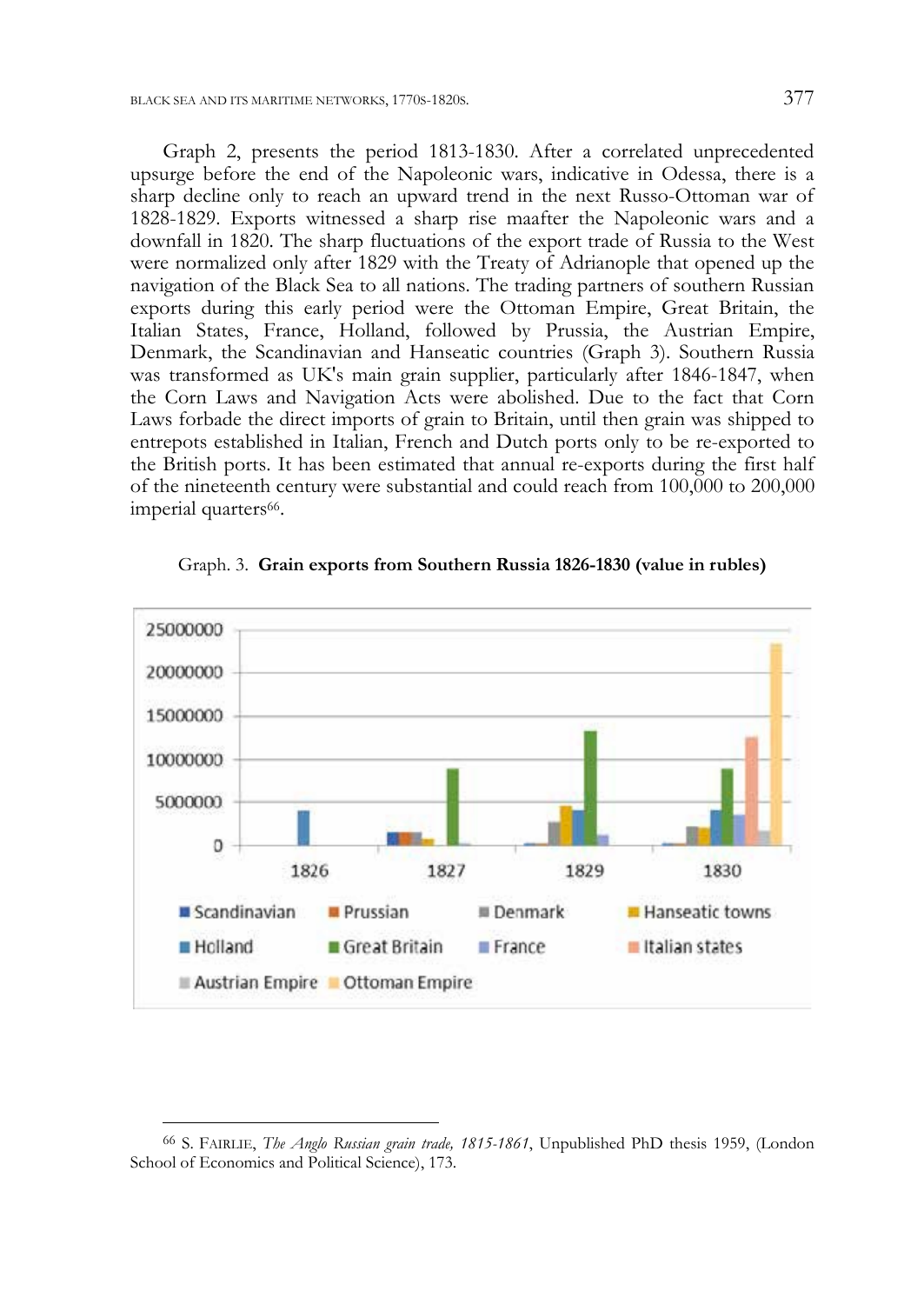Graph 2, presents the period 1813-1830. After a correlated unprecedented upsurge before the end of the Napoleonic wars, indicative in Odessa, there is a sharp decline only to reach an upward trend in the next Russo-Ottoman war of 1828-1829. Exports witnessed a sharp rise maafter the Napoleonic wars and a downfall in 1820. The sharp fluctuations of the export trade of Russia to the West were normalized only after 1829 with the Treaty of Adrianople that opened up the navigation of the Black Sea to all nations. The trading partners of southern Russian exports during this early period were the Ottoman Empire, Great Britain, the Italian States, France, Holland, followed by Prussia, the Austrian Empire, Denmark, the Scandinavian and Hanseatic countries (Graph 3). Southern Russia was transformed as UK's main grain supplier, particularly after 1846-1847, when the Corn Laws and Navigation Acts were abolished. Due to the fact that Corn Laws forbade the direct imports of grain to Britain, until then grain was shipped to entrepots established in Italian, French and Dutch ports only to be re-exported to the British ports. It has been estimated that annual re-exports during the first half of the nineteenth century were substantial and could reach from 100,000 to 200,000 imperial quarters<sup>66</sup>.



Graph. 3. **Grain exports from Southern Russia 1826-1830 (value in rubles)** 

<sup>66</sup> S. FAIRLIE, *The Anglo Russian grain trade, 1815-1861*, Unpublished PhD thesis 1959, (London School of Economics and Political Science), 173.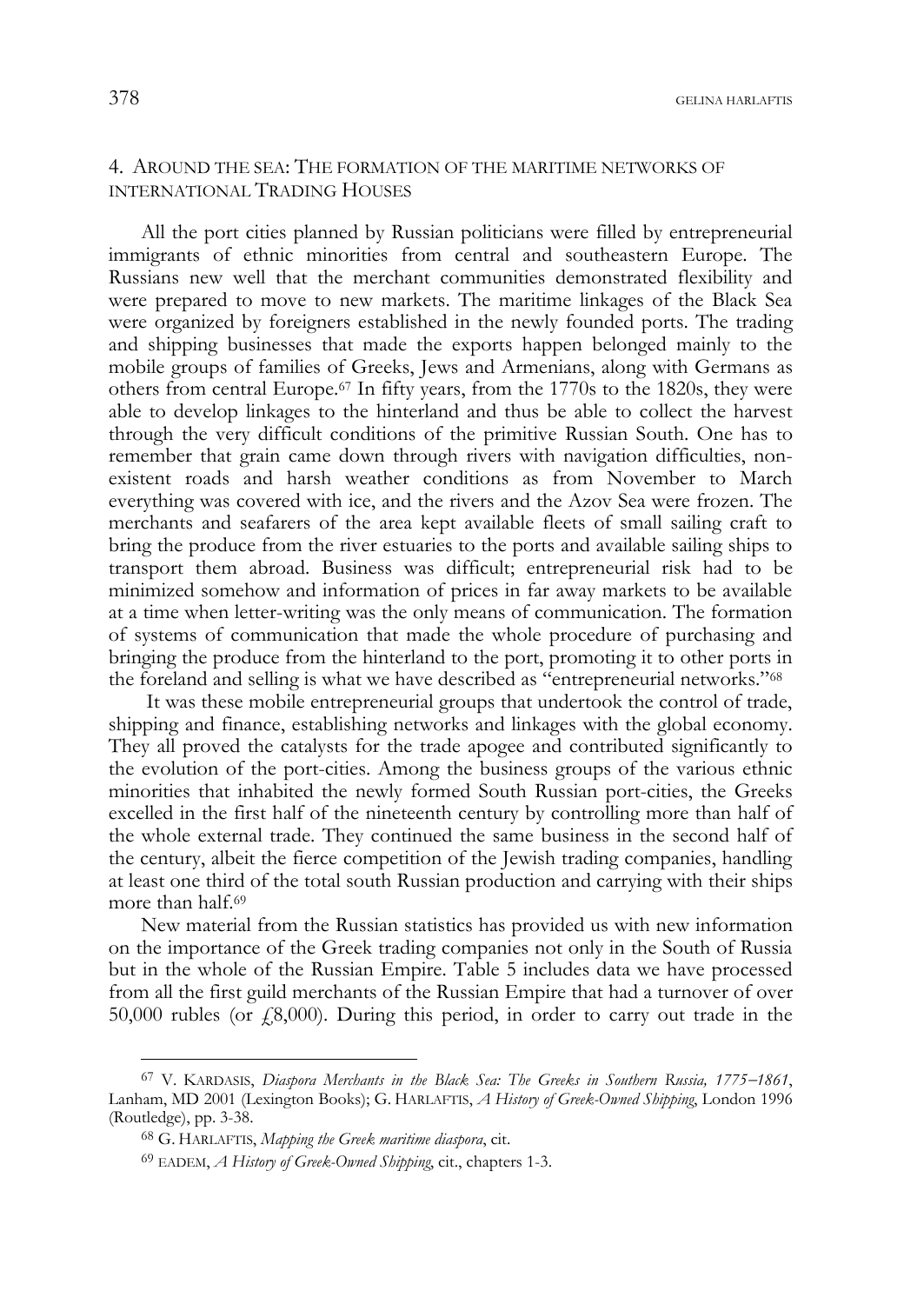## 4. AROUND THE SEA: THE FORMATION OF THE MARITIME NETWORKS OF INTERNATIONAL TRADING HOUSES

All the port cities planned by Russian politicians were filled by entrepreneurial immigrants of ethnic minorities from central and southeastern Europe. Τhe Russians new well that the merchant communities demonstrated flexibility and were prepared to move to new markets. The maritime linkages of the Black Sea were organized by foreigners established in the newly founded ports. The trading and shipping businesses that made the exports happen belonged mainly to the mobile groups of families of Greeks, Jews and Armenians, along with Germans as others from central Europe.67 In fifty years, from the 1770s to the 1820s, they were able to develop linkages to the hinterland and thus be able to collect the harvest through the very difficult conditions of the primitive Russian South. One has to remember that grain came down through rivers with navigation difficulties, nonexistent roads and harsh weather conditions as from November to March everything was covered with ice, and the rivers and the Azov Sea were frozen. The merchants and seafarers of the area kept available fleets of small sailing craft to bring the produce from the river estuaries to the ports and available sailing ships to transport them abroad. Business was difficult; entrepreneurial risk had to be minimized somehow and information of prices in far away markets to be available at a time when letter-writing was the only means of communication. The formation of systems of communication that made the whole procedure of purchasing and bringing the produce from the hinterland to the port, promoting it to other ports in the foreland and selling is what we have described as "entrepreneurial networks."68

 It was these mobile entrepreneurial groups that undertook the control of trade, shipping and finance, establishing networks and linkages with the global economy. They all proved the catalysts for the trade apogee and contributed significantly to the evolution of the port-cities. Among the business groups of the various ethnic minorities that inhabited the newly formed South Russian port-cities, the Greeks excelled in the first half of the nineteenth century by controlling more than half of the whole external trade. They continued the same business in the second half of the century, albeit the fierce competition of the Jewish trading companies, handling at least one third of the total south Russian production and carrying with their ships more than half.<sup>69</sup>

New material from the Russian statistics has provided us with new information on the importance of the Greek trading companies not only in the South of Russia but in the whole of the Russian Empire. Table 5 includes data we have processed from all the first guild merchants of the Russian Empire that had a turnover of over 50,000 rubles (or  $\sqrt{2}8,000$ ). During this period, in order to carry out trade in the

<sup>67</sup> V. KARDASIS, *Diaspora Merchants in the Black Sea: The Greeks in Southern Russia, 17751861*, Lanham, MD 2001 (Lexington Books); G. HARLAFTIS, *Α Ηistory of Greek-Owned Shipping*, London 1996 (Routledge), pp. 3-38.

<sup>68</sup> G. HARLAFTIS, *Mapping the Greek maritime diaspora*, cit.

<sup>69</sup> EADEM, *Α Ηistory of Greek-Owned Shipping*, cit., chapters 1-3.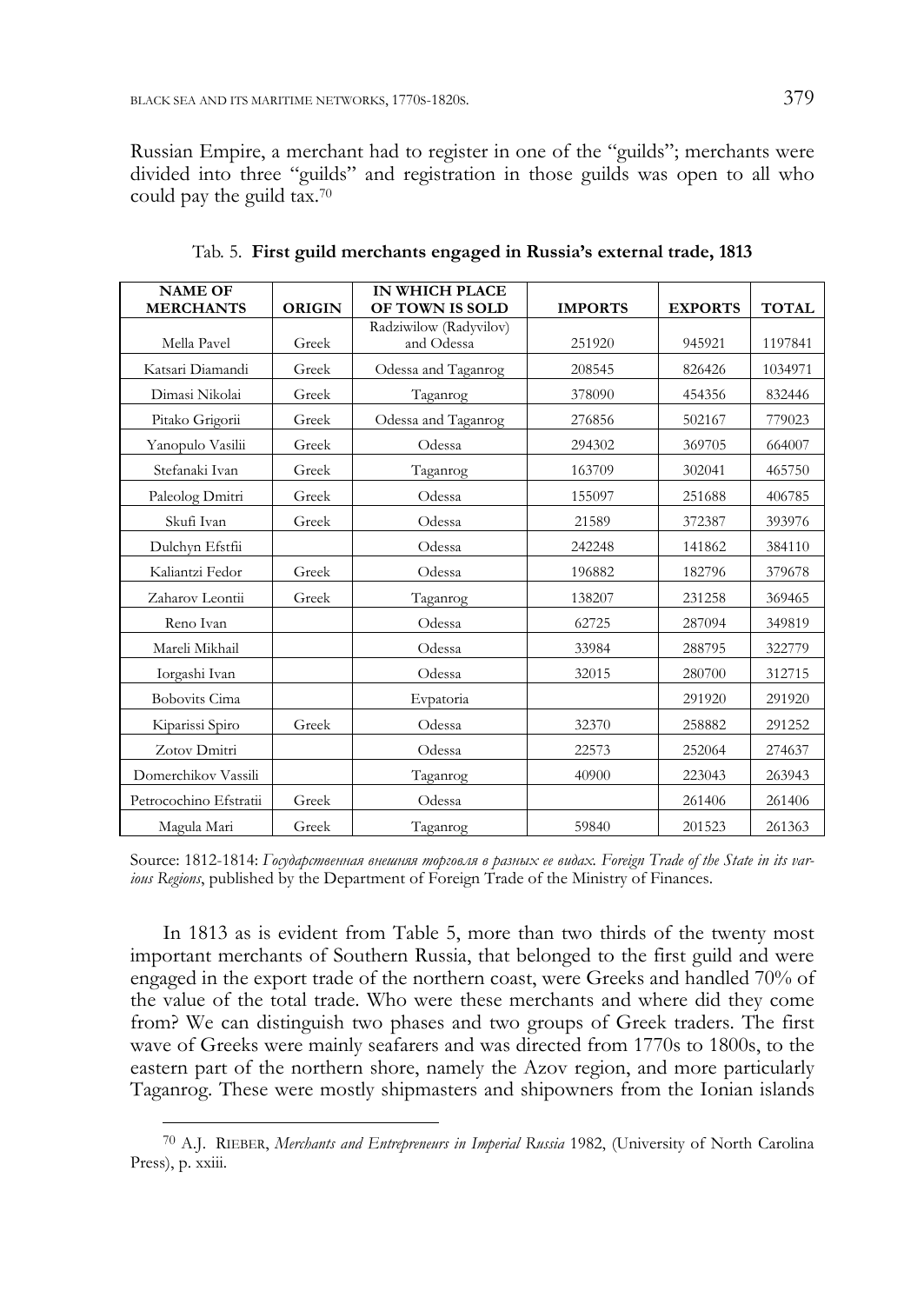Russian Empire, a merchant had to register in one of the "guilds"; merchants were divided into three "guilds" and registration in those guilds was open to all who could pay the guild tax.70

| <b>NAME OF</b><br><b>MERCHANTS</b> | <b>ORIGIN</b> | <b>IN WHICH PLACE</b><br><b>OF TOWN IS SOLD</b> | <b>IMPORTS</b> | <b>EXPORTS</b> | <b>TOTAL</b> |
|------------------------------------|---------------|-------------------------------------------------|----------------|----------------|--------------|
|                                    |               | Radziwilow (Radyvilov)                          |                |                |              |
| Mella Pavel                        | Greek         | and Odessa                                      | 251920         | 945921         | 1197841      |
| Katsari Diamandi                   | Greek         | Odessa and Taganrog                             | 208545         | 826426         | 1034971      |
| Dimasi Nikolai                     | Greek         | Taganrog                                        | 378090         | 454356         | 832446       |
| Pitako Grigorii                    | Greek         | Odessa and Taganrog                             | 276856         | 502167         | 779023       |
| Yanopulo Vasilii                   | Greek         | Odessa                                          | 294302         | 369705         | 664007       |
| Stefanaki Ivan                     | Greek         | Taganrog                                        | 163709         | 302041         | 465750       |
| Paleolog Dmitri                    | Greek         | Odessa                                          | 155097         | 251688         | 406785       |
| Skufi Ivan                         | Greek         | Odessa                                          | 21589          | 372387         | 393976       |
| Dulchyn Efstfii                    |               | Odessa                                          | 242248         | 141862         | 384110       |
| Kaliantzi Fedor                    | Greek         | Odessa                                          | 196882         | 182796         | 379678       |
| Zaharov Leontii                    | Greek         | Taganrog                                        | 138207         | 231258         | 369465       |
| Reno Ivan                          |               | Odessa                                          | 62725          | 287094         | 349819       |
| Mareli Mikhail                     |               | Odessa                                          | 33984          | 288795         | 322779       |
| Iorgashi Ivan                      |               | Odessa                                          | 32015          | 280700         | 312715       |
| <b>Bobovits Cima</b>               |               | Evpatoria                                       |                | 291920         | 291920       |
| Kiparissi Spiro                    | Greek         | Odessa                                          | 32370          | 258882         | 291252       |
| Zotov Dmitri                       |               | Odessa                                          | 22573          | 252064         | 274637       |
| Domerchikov Vassili                |               | Taganrog                                        | 40900          | 223043         | 263943       |
| Petrocochino Efstratii             | Greek         | Odessa                                          |                | 261406         | 261406       |
| Magula Mari                        | Greek         | Taganrog                                        | 59840          | 201523         | 261363       |

Tab. 5. **First guild merchants engaged in Russia's external trade, 1813** 

Source: 1812-1814: *Государственная внешняя торговля в разных ее видах. Foreign Trade of the State in its various Regions*, published by the Department of Foreign Trade of the Ministry of Finances.

In 1813 as is evident from Table 5, more than two thirds of the twenty most important merchants of Southern Russia, that belonged to the first guild and were engaged in the export trade of the northern coast, were Greeks and handled 70% of the value of the total trade. Who were these merchants and where did they come from? We can distinguish two phases and two groups of Greek traders. The first wave of Greeks were mainly seafarers and was directed from 1770s to 1800s, to the eastern part of the northern shore, namely the Azov region, and more particularly Taganrog. These were mostly shipmasters and shipowners from the Ionian islands

<sup>70</sup> A.J. RIEBER, *Merchants and Entrepreneurs in Imperial Russia* 1982, (University of North Carolina Press), p. xxiii.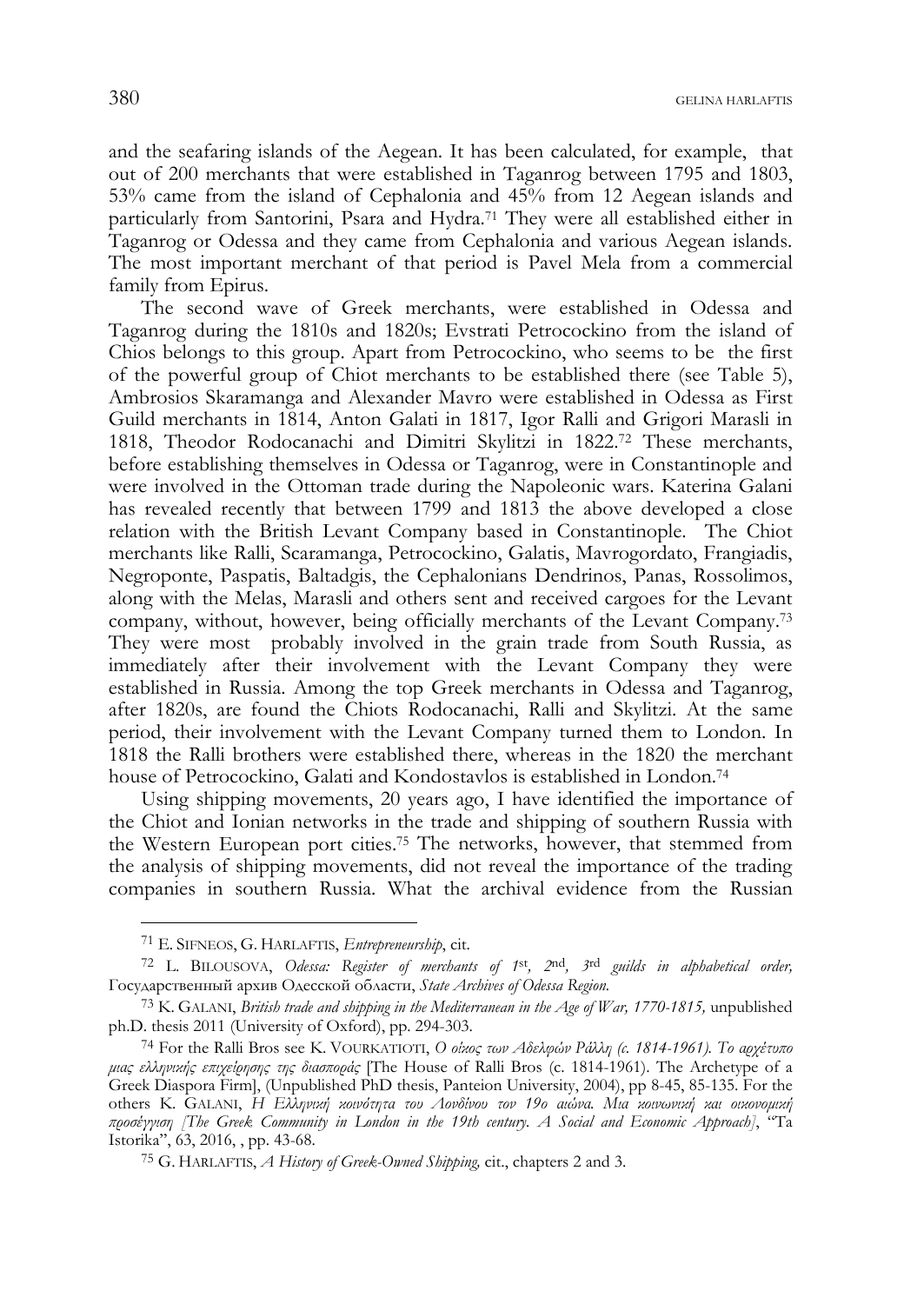and the seafaring islands of the Aegean. It has been calculated, for example, that out of 200 merchants that were established in Taganrog between 1795 and 1803, 53% came from the island of Cephalonia and 45% from 12 Aegean islands and particularly from Santorini, Psara and Hydra.71 They were all established either in Taganrog or Odessa and they came from Cephalonia and various Aegean islands. The most important merchant of that period is Pavel Mela from a commercial family from Epirus.

The second wave of Greek merchants, were established in Odessa and Taganrog during the 1810s and 1820s; Evstrati Petrocockino from the island of Chios belongs to this group. Apart from Petrocockino, who seems to be the first of the powerful group of Chiot merchants to be established there (see Table 5), Ambrosios Skaramanga and Alexander Mavro were established in Odessa as First Guild merchants in 1814, Anton Galati in 1817, Igor Ralli and Grigori Marasli in 1818, Theodor Rodocanachi and Dimitri Skylitzi in 1822.72 These merchants, before establishing themselves in Odessa or Taganrog, were in Constantinople and were involved in the Ottoman trade during the Napoleonic wars. Katerina Galani has revealed recently that between 1799 and 1813 the above developed a close relation with the British Levant Company based in Constantinople. The Chiot merchants like Ralli, Scaramanga, Petrocockino, Galatis, Mavrogordato, Frangiadis, Negroponte, Paspatis, Baltadgis, the Cephalonians Dendrinos, Panas, Rossolimos, along with the Melas, Marasli and others sent and received cargoes for the Levant company, without, however, being officially merchants of the Levant Company.73 They were most probably involved in the grain trade from South Russia, as immediately after their involvement with the Levant Company they were established in Russia. Among the top Greek merchants in Odessa and Taganrog, after 1820s, are found the Chiots Rodocanachi, Ralli and Skylitzi. At the same period, their involvement with the Levant Company turned them to London. In 1818 the Ralli brothers were established there, whereas in the 1820 the merchant house of Petrocockino, Galati and Kondostavlos is established in London.<sup>74</sup>

Using shipping movements, 20 years ago, I have identified the importance of the Chiot and Ionian networks in the trade and shipping of southern Russia with the Western European port cities.75 The networks, however, that stemmed from the analysis of shipping movements, did not reveal the importance of the trading companies in southern Russia. What the archival evidence from the Russian

<sup>71</sup> E. SIFNEOS, G. HARLAFTIS, *Entrepreneurship*, cit.

<sup>72</sup> L. BILOUSOVA, *Odessa: Register of merchants of 1*st*, 2*nd*, 3*rd *guilds in alphabetical order,* Государственный архив Одесской области, *State Archives of Odessa Region.*

<sup>73</sup> K. GALANI, *British trade and shipping in the Mediterranean in the Age of War, 1770-1815,* unpublished ph.D. thesis 2011 (University of Oxford), pp. 294-303.

<sup>74</sup> For the Ralli Bros see K. VOURKATIOTI, *Ο οίκος των Αδελφών Ράλλη (c. 1814-1961). Το αρχέτυπο μιας ελληνικής επιχείρησης της διασποράς* [The House of Ralli Bros (c. 1814-1961). The Archetype of a Greek Diaspora Firm], (Unpublished PhD thesis, Panteion University, 2004), pp 8-45, 85-135. For the others K. GALANI, *Η Ελληνική κοινότητα του Λονδίνου τον 19ο αιώνα. Μια κοινωνική και οικονομική προσέγγιση [The Greek Community in London in the 19th century. A Social and Economic Approach]*, "Ta Istorika", 63, 2016, , pp. 43-68.

<sup>75</sup> G. HARLAFTIS, *Α Ηistory of Greek-Owned Shipping,* cit., chapters 2 and 3.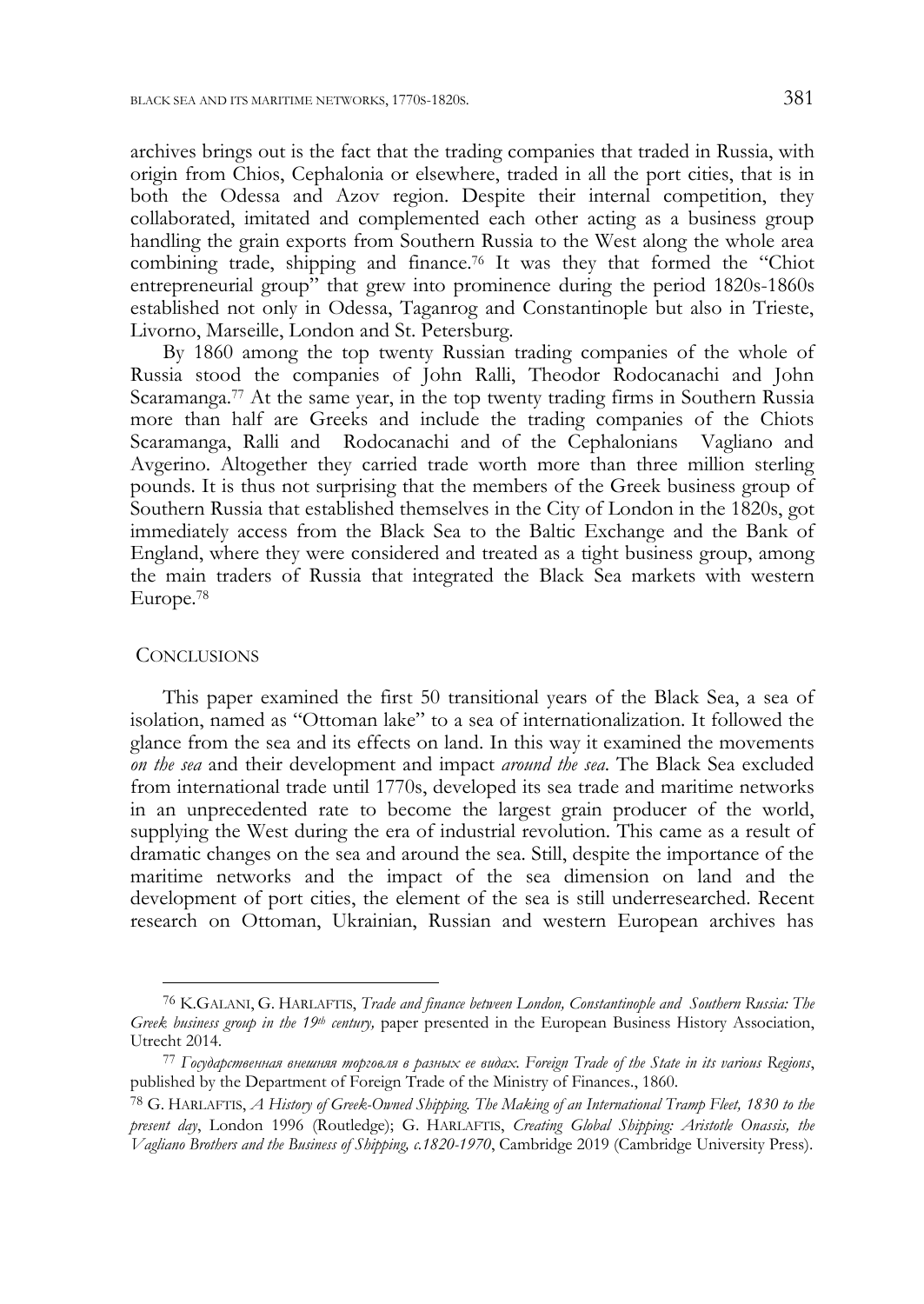archives brings out is the fact that the trading companies that traded in Russia, with origin from Chios, Cephalonia or elsewhere, traded in all the port cities, that is in both the Odessa and Azov region. Despite their internal competition, they collaborated, imitated and complemented each other acting as a business group handling the grain exports from Southern Russia to the West along the whole area combining trade, shipping and finance.76 It was they that formed the "Chiot entrepreneurial group" that grew into prominence during the period 1820s-1860s established not only in Odessa, Taganrog and Constantinople but also in Trieste, Livorno, Marseille, London and St. Petersburg.

By 1860 among the top twenty Russian trading companies of the whole of Russia stood the companies of John Ralli, Theodor Rodocanachi and John Scaramanga.77 At the same year, in the top twenty trading firms in Southern Russia more than half are Greeks and include the trading companies of the Chiots Scaramanga, Ralli and Rodocanachi and of the Cephalonians Vagliano and Avgerino. Altogether they carried trade worth more than three million sterling pounds. It is thus not surprising that the members of the Greek business group of Southern Russia that established themselves in the City of London in the 1820s, got immediately access from the Black Sea to the Baltic Exchange and the Bank of England, where they were considered and treated as a tight business group, among the main traders of Russia that integrated the Black Sea markets with western Europe.78

#### **CONCLUSIONS**

-

This paper examined the first 50 transitional years of the Black Sea, a sea of isolation, named as "Ottoman lake" to a sea of internationalization. It followed the glance from the sea and its effects on land. In this way it examined the movements *on the sea* and their development and impact *around the sea*. The Black Sea excluded from international trade until 1770s, developed its sea trade and maritime networks in an unprecedented rate to become the largest grain producer of the world, supplying the West during the era of industrial revolution. This came as a result of dramatic changes on the sea and around the sea. Still, despite the importance of the maritime networks and the impact of the sea dimension on land and the development of port cities, the element of the sea is still underresearched. Recent research on Ottoman, Ukrainian, Russian and western European archives has

<sup>76</sup> K.GALANI, G. HARLAFTIS, *Trade and finance between London, Constantinople and Southern Russia: The Greek business group in the 19th century,* paper presented in the European Business History Association,

Utrecht 2014. 77 *Государственная внешняя торговля <sup>в</sup> разных ее видах*. *Foreign Trade of the State in its various Regions*, published by the Department of Foreign Trade of the Ministry of Finances., 1860.

<sup>78</sup> G. HARLAFTIS, *Α Ηistory of Greek-Owned Shipping. The Making of an International Tramp Fleet, 1830 to the present day*, London 1996 (Routledge); G. HARLAFTIS, *Creating Global Shipping: Aristotle Onassis, the Vagliano Brothers and the Business of Shipping, c.1820-1970*, Cambridge 2019 (Cambridge University Press).